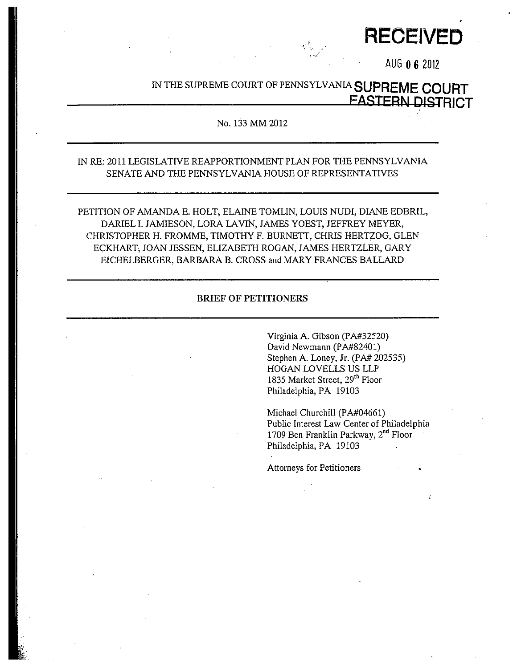**RECEIVED** 

AUG 0 6 2012

# IN THE SUPREME COURT OF PENNSYLVANIA SUPREME COURT **EASTERN DISTRICT**

ان<br>مردان

#### No. 133 MM 2012

## IN RE: 2011 LEGISLATIVE REAPPORTIONMENT PLAN FOR THE PENNSYLVANIA SENATE AND THE PENNSYLVANIA HOUSE OF REPRESENTATIVES

PETITION OF AMANDA E. HOLT, ELAINE TOMLIN, LOUIS NUDI, DIANE EDBRIL, DARIEL I. JAMIESON, LORA LAVIN, JAMES YOEST, JEFFREY MEYER, CHRISTOPHER H. FROMME, TIMOTHY F. BURNETT, CHRIS HERTZOG, GLEN ECKHART, JOAN JESSEN, ELIZABETH ROGAN, JAMES HERTZLER, GARY EICHELBERGER, BARBARA B. CROSS and MARY FRANCES BALLARD

#### **BRIEF OF PETITIONERS**

Virginia A. Gibson (PA#32520) David Newmann (PA#82401) Stephen A. Loney, Jr. (PA# 202535) HOGAN LOVELLS US LLP 1835 Market Street, 29<sup>th</sup> Floor Philadelphia, PA 19103

Michael Churchill (PA#04661) Public Interest Law Center of Philadelphia 1709 Ben Franklin Parkway, 2<sup>nd</sup> Floor Philadelphia, PA 19103

ğ.

Attorneys for Petitioners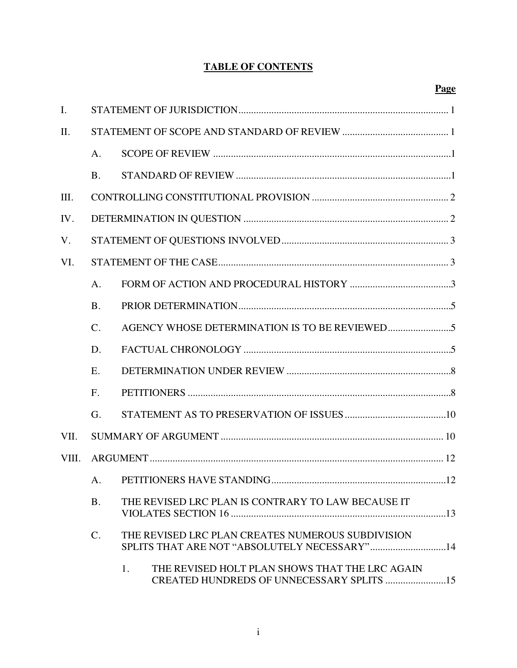## **TABLE OF CONTENTS**

| $\mathbf{I}$ . |                 |                                                                                                   |  |  |
|----------------|-----------------|---------------------------------------------------------------------------------------------------|--|--|
| II.            |                 |                                                                                                   |  |  |
|                | A <sub>1</sub>  |                                                                                                   |  |  |
|                | <b>B.</b>       |                                                                                                   |  |  |
| Ш.             |                 |                                                                                                   |  |  |
| IV.            |                 |                                                                                                   |  |  |
| V.             |                 |                                                                                                   |  |  |
| VI.            |                 |                                                                                                   |  |  |
|                | A.              |                                                                                                   |  |  |
|                | <b>B.</b>       |                                                                                                   |  |  |
|                | $\mathcal{C}$ . |                                                                                                   |  |  |
|                | D.              |                                                                                                   |  |  |
|                | E.              |                                                                                                   |  |  |
|                | F <sub>r</sub>  |                                                                                                   |  |  |
|                | G.              |                                                                                                   |  |  |
| VII.           |                 |                                                                                                   |  |  |
| VIII.          |                 |                                                                                                   |  |  |
|                |                 | .12                                                                                               |  |  |
|                | <b>B.</b>       | THE REVISED LRC PLAN IS CONTRARY TO LAW BECAUSE IT                                                |  |  |
|                | $\mathcal{C}$ . | THE REVISED LRC PLAN CREATES NUMEROUS SUBDIVISION<br>SPLITS THAT ARE NOT "ABSOLUTELY NECESSARY"14 |  |  |
|                |                 | THE REVISED HOLT PLAN SHOWS THAT THE LRC AGAIN<br>1.<br>CREATED HUNDREDS OF UNNECESSARY SPLITS 15 |  |  |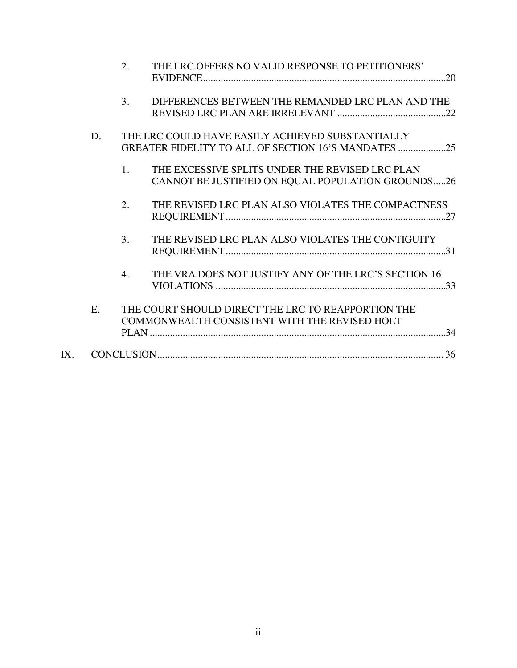|     |    | 2.             | THE LRC OFFERS NO VALID RESPONSE TO PETITIONERS'                                                     |
|-----|----|----------------|------------------------------------------------------------------------------------------------------|
|     |    | 3.             | DIFFERENCES BETWEEN THE REMANDED LRC PLAN AND THE                                                    |
|     | D. |                | THE LRC COULD HAVE EASILY ACHIEVED SUBSTANTIALLY                                                     |
|     |    | 1 <sub>1</sub> | THE EXCESSIVE SPLITS UNDER THE REVISED LRC PLAN<br>CANNOT BE JUSTIFIED ON EQUAL POPULATION GROUNDS26 |
|     |    | 2.             | THE REVISED LRC PLAN ALSO VIOLATES THE COMPACTNESS                                                   |
|     |    | 3.             | THE REVISED LRC PLAN ALSO VIOLATES THE CONTIGUITY                                                    |
|     |    | 4.             | THE VRA DOES NOT JUSTIFY ANY OF THE LRC'S SECTION 16                                                 |
|     | E. |                | THE COURT SHOULD DIRECT THE LRC TO REAPPORTION THE<br>COMMONWEALTH CONSISTENT WITH THE REVISED HOLT  |
| IX. |    |                |                                                                                                      |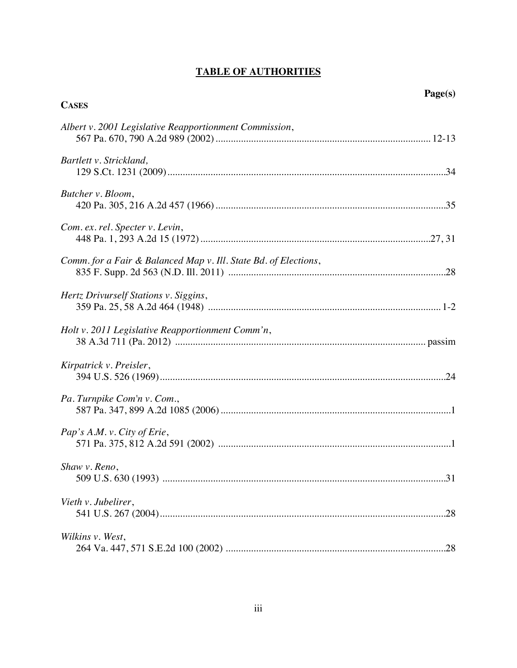## **TABLE OF AUTHORITIES**

| <b>CASES</b>                                                    |  |
|-----------------------------------------------------------------|--|
| Albert v. 2001 Legislative Reapportionment Commission,          |  |
| Bartlett v. Strickland,                                         |  |
| Butcher v. Bloom,                                               |  |
| Com. ex. rel. Specter v. Levin,                                 |  |
| Comm. for a Fair & Balanced Map v. Ill. State Bd. of Elections, |  |
| Hertz Drivurself Stations v. Siggins,                           |  |
| Holt v. 2011 Legislative Reapportionment Comm'n,                |  |
| Kirpatrick v. Preisler,                                         |  |
| Pa. Turnpike Com'n v. Com.,                                     |  |
| Pap's A.M. v. City of Erie,                                     |  |
| Shaw v. Reno,                                                   |  |
| Vieth v. Jubelirer,                                             |  |
| Wilkins v. West,                                                |  |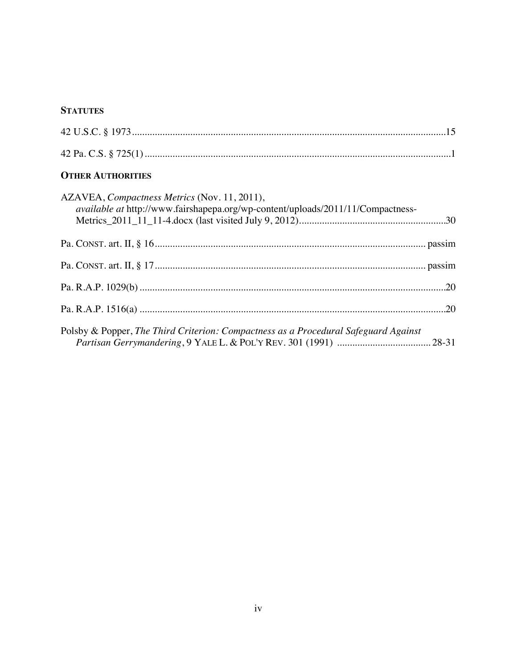## **STATUTES**

## **OTHER AUTHORITIES**

| AZAVEA, Compactness Metrics (Nov. 11, 2011),<br><i>available at http://www.fairshapepa.org/wp-content/uploads/2011/11/Compactness-</i> |  |
|----------------------------------------------------------------------------------------------------------------------------------------|--|
|                                                                                                                                        |  |
|                                                                                                                                        |  |
|                                                                                                                                        |  |
|                                                                                                                                        |  |
| Polsby & Popper, The Third Criterion: Compactness as a Procedural Safeguard Against                                                    |  |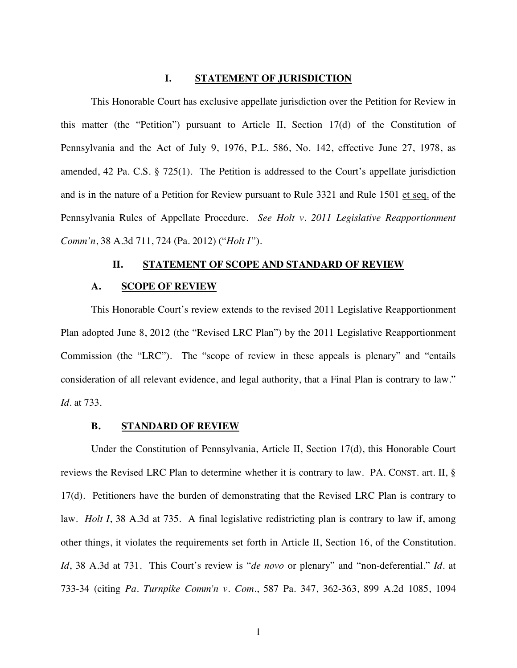#### <span id="page-5-0"></span>**I. STATEMENT OF JURISDICTION**

<span id="page-5-5"></span>This Honorable Court has exclusive appellate jurisdiction over the Petition for Review in this matter (the "Petition") pursuant to Article II, Section 17(d) of the Constitution of Pennsylvania and the Act of July 9, 1976, P.L. 586, No. 142, effective June 27, 1978, as amended, 42 Pa. C.S. § 725(1). The Petition is addressed to the Court's appellate jurisdiction and is in the nature of a Petition for Review pursuant to Rule 3321 and Rule 1501 et seq. of the Pennsylvania Rules of Appellate Procedure. *See Holt v. 2011 Legislative Reapportionment Comm'n*, 38 A.3d 711, 724 (Pa. 2012) ("*Holt I"*).

### <span id="page-5-2"></span><span id="page-5-1"></span>**II. STATEMENT OF SCOPE AND STANDARD OF REVIEW**

#### **A. SCOPE OF REVIEW**

This Honorable Court's review extends to the revised 2011 Legislative Reapportionment Plan adopted June 8, 2012 (the "Revised LRC Plan") by the 2011 Legislative Reapportionment Commission (the "LRC"). The "scope of review in these appeals is plenary" and "entails consideration of all relevant evidence, and legal authority, that a Final Plan is contrary to law." *Id.* at 733.

#### <span id="page-5-3"></span>**B. STANDARD OF REVIEW**

<span id="page-5-4"></span>Under the Constitution of Pennsylvania, Article II, Section 17(d), this Honorable Court reviews the Revised LRC Plan to determine whether it is contrary to law. PA. CONST. art. II, § 17(d). Petitioners have the burden of demonstrating that the Revised LRC Plan is contrary to law. *Holt I*, 38 A.3d at 735. A final legislative redistricting plan is contrary to law if, among other things, it violates the requirements set forth in Article II, Section 16, of the Constitution. *Id*, 38 A.3d at 731. This Court's review is "*de novo* or plenary" and "non-deferential." *Id.* at 733-34 (citing *Pa. Turnpike Comm'n v. Com.*, 587 Pa. 347, 362-363, 899 A.2d 1085, 1094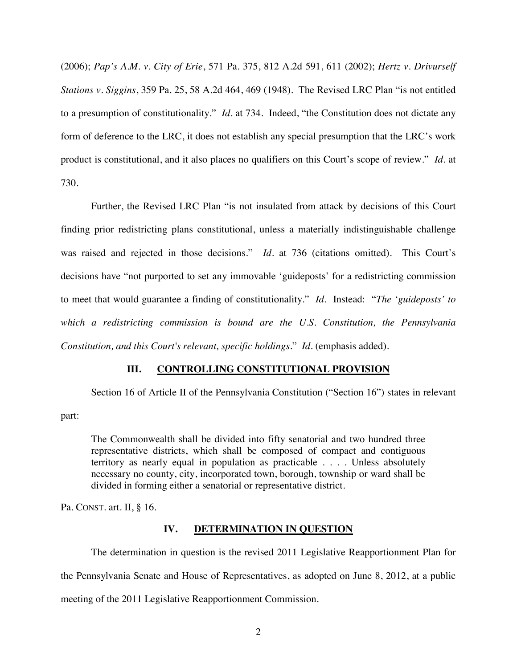(2006); *Pap's A.M. v. City of Erie*, 571 Pa. 375, 812 A.2d 591, 611 (2002); *Hertz v. Drivurself Stations v. Siggins*, 359 Pa. 25, 58 A.2d 464, 469 (1948). The Revised LRC Plan "is not entitled to a presumption of constitutionality." *Id.* at 734. Indeed, "the Constitution does not dictate any form of deference to the LRC, it does not establish any special presumption that the LRC's work product is constitutional, and it also places no qualifiers on this Court's scope of review." *Id.* at 730.

Further, the Revised LRC Plan "is not insulated from attack by decisions of this Court finding prior redistricting plans constitutional, unless a materially indistinguishable challenge was raised and rejected in those decisions." *Id.* at 736 (citations omitted). This Court's decisions have "not purported to set any immovable 'guideposts' for a redistricting commission to meet that would guarantee a finding of constitutionality." *Id.* Instead: "*The 'guideposts' to which a redistricting commission is bound are the U.S. Constitution, the Pennsylvania Constitution, and this Court's relevant, specific holdings*." *Id.* (emphasis added).

## <span id="page-6-0"></span>**III. CONTROLLING CONSTITUTIONAL PROVISION**

Section 16 of Article II of the Pennsylvania Constitution ("Section 16") states in relevant

part:

The Commonwealth shall be divided into fifty senatorial and two hundred three representative districts, which shall be composed of compact and contiguous territory as nearly equal in population as practicable . . . . Unless absolutely necessary no county, city, incorporated town, borough, township or ward shall be divided in forming either a senatorial or representative district.

Pa. CONST. art. II, § 16.

#### <span id="page-6-1"></span>**IV. DETERMINATION IN QUESTION**

The determination in question is the revised 2011 Legislative Reapportionment Plan for the Pennsylvania Senate and House of Representatives, as adopted on June 8, 2012, at a public meeting of the 2011 Legislative Reapportionment Commission.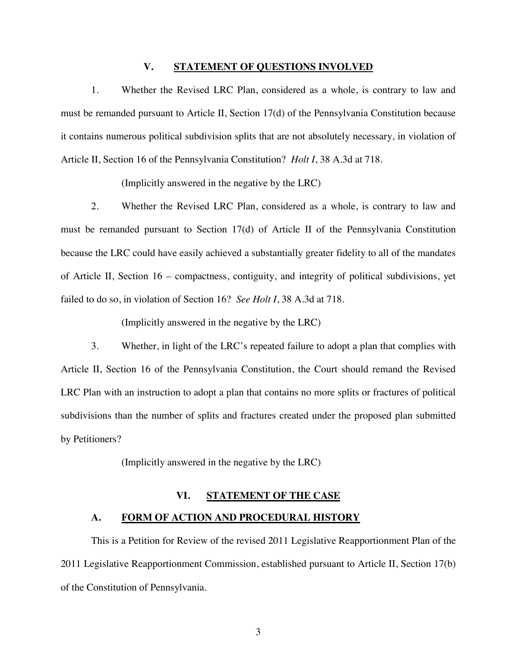### <span id="page-7-0"></span>**V. STATEMENT OF QUESTIONS INVOLVED**

1. Whether the Revised LRC Plan, considered as a whole, is contrary to law and must be remanded pursuant to Article II, Section 17(d) of the Pennsylvania Constitution because it contains numerous political subdivision splits that are not absolutely necessary, in violation of Article II, Section 16 of the Pennsylvania Constitution? *Holt I*, 38 A.3d at 718.

(Implicitly answered in the negative by the LRC)

2. Whether the Revised LRC Plan, considered as a whole, is contrary to law and must be remanded pursuant to Section 17(d) of Article II of the Pennsylvania Constitution because the LRC could have easily achieved a substantially greater fidelity to all of the mandates of Article II, Section 16 – compactness, contiguity, and integrity of political subdivisions, yet failed to do so, in violation of Section 16? *See Holt I*, 38 A.3d at 718.

(Implicitly answered in the negative by the LRC)

3. Whether, in light of the LRC's repeated failure to adopt a plan that complies with Article II, Section 16 of the Pennsylvania Constitution, the Court should remand the Revised LRC Plan with an instruction to adopt a plan that contains no more splits or fractures of political subdivisions than the number of splits and fractures created under the proposed plan submitted by Petitioners?

(Implicitly answered in the negative by the LRC)

### <span id="page-7-1"></span>**VI. STATEMENT OF THE CASE**

#### <span id="page-7-2"></span>**A. FORM OF ACTION AND PROCEDURAL HISTORY**

This is a Petition for Review of the revised 2011 Legislative Reapportionment Plan of the 2011 Legislative Reapportionment Commission, established pursuant to Article II, Section 17(b) of the Constitution of Pennsylvania.

3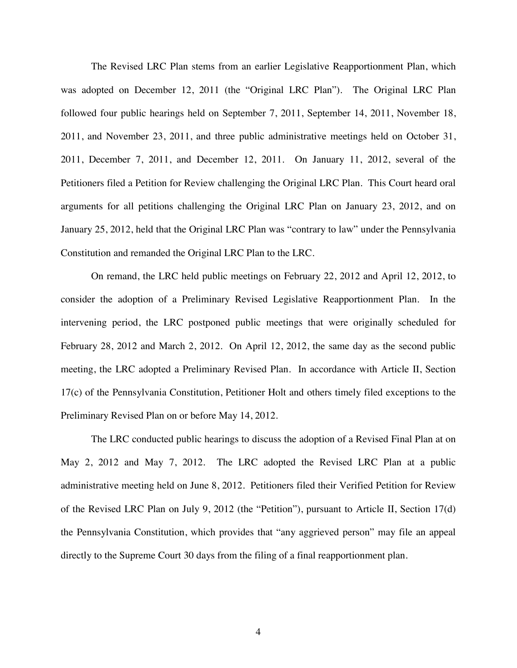The Revised LRC Plan stems from an earlier Legislative Reapportionment Plan, which was adopted on December 12, 2011 (the "Original LRC Plan"). The Original LRC Plan followed four public hearings held on September 7, 2011, September 14, 2011, November 18, 2011, and November 23, 2011, and three public administrative meetings held on October 31, 2011, December 7, 2011, and December 12, 2011. On January 11, 2012, several of the Petitioners filed a Petition for Review challenging the Original LRC Plan. This Court heard oral arguments for all petitions challenging the Original LRC Plan on January 23, 2012, and on January 25, 2012, held that the Original LRC Plan was "contrary to law" under the Pennsylvania Constitution and remanded the Original LRC Plan to the LRC.

On remand, the LRC held public meetings on February 22, 2012 and April 12, 2012, to consider the adoption of a Preliminary Revised Legislative Reapportionment Plan. In the intervening period, the LRC postponed public meetings that were originally scheduled for February 28, 2012 and March 2, 2012. On April 12, 2012, the same day as the second public meeting, the LRC adopted a Preliminary Revised Plan. In accordance with Article II, Section 17(c) of the Pennsylvania Constitution, Petitioner Holt and others timely filed exceptions to the Preliminary Revised Plan on or before May 14, 2012.

The LRC conducted public hearings to discuss the adoption of a Revised Final Plan at on May 2, 2012 and May 7, 2012. The LRC adopted the Revised LRC Plan at a public administrative meeting held on June 8, 2012. Petitioners filed their Verified Petition for Review of the Revised LRC Plan on July 9, 2012 (the "Petition"), pursuant to Article II, Section 17(d) the Pennsylvania Constitution, which provides that "any aggrieved person" may file an appeal directly to the Supreme Court 30 days from the filing of a final reapportionment plan.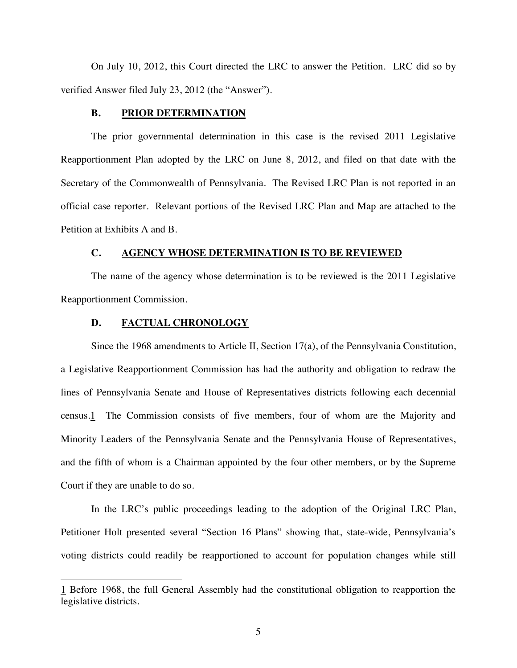On July 10, 2012, this Court directed the LRC to answer the Petition. LRC did so by verified Answer filed July 23, 2012 (the "Answer").

#### <span id="page-9-0"></span>**B. PRIOR DETERMINATION**

The prior governmental determination in this case is the revised 2011 Legislative Reapportionment Plan adopted by the LRC on June 8, 2012, and filed on that date with the Secretary of the Commonwealth of Pennsylvania. The Revised LRC Plan is not reported in an official case reporter. Relevant portions of the Revised LRC Plan and Map are attached to the Petition at Exhibits A and B.

#### <span id="page-9-1"></span>**C. AGENCY WHOSE DETERMINATION IS TO BE REVIEWED**

The name of the agency whose determination is to be reviewed is the 2011 Legislative Reapportionment Commission.

#### <span id="page-9-2"></span>**D. FACTUAL CHRONOLOGY**

Since the 1968 amendments to Article II, Section 17(a), of the Pennsylvania Constitution, a Legislative Reapportionment Commission has had the authority and obligation to redraw the lines of Pennsylvania Senate and House of Representatives districts following each decennial [census.1 The Commission consists of five members, four of whom are the Majority and](#page-9-3) Minority Leaders of the Pennsylvania Senate and the Pennsylvania House of Representatives, and the fifth of whom is a Chairman appointed by the four other members, or by the Supreme Court if they are unable to do so.

In the LRC's public proceedings leading to the adoption of the Original LRC Plan, Petitioner Holt presented several "Section 16 Plans" showing that, state-wide, Pennsylvania's voting districts could readily be reapportioned to account for population changes while still

<span id="page-9-3"></span><sup>1</sup> Before 1968, the full General Assembly had the constitutional obligation to reapportion the legislative districts.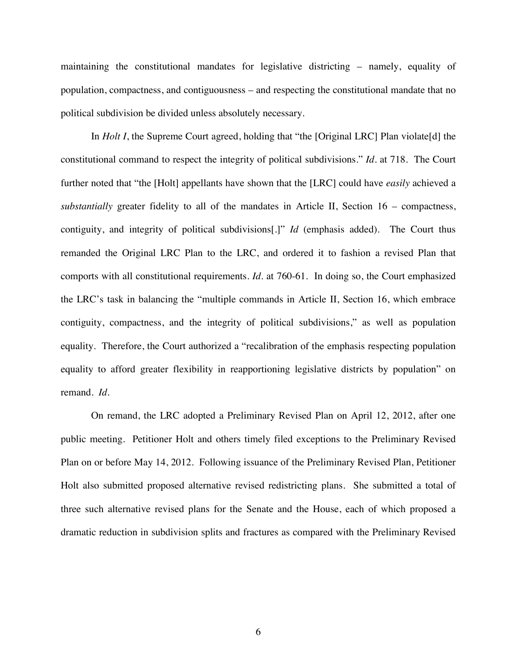maintaining the constitutional mandates for legislative districting – namely, equality of population, compactness, and contiguousness – and respecting the constitutional mandate that no political subdivision be divided unless absolutely necessary.

In *Holt I*, the Supreme Court agreed, holding that "the [Original LRC] Plan violate[d] the constitutional command to respect the integrity of political subdivisions." *Id*. at 718. The Court further noted that "the [Holt] appellants have shown that the [LRC] could have *easily* achieved a *substantially* greater fidelity to all of the mandates in Article II, Section 16 – compactness, contiguity, and integrity of political subdivisions[.]" *Id* (emphasis added). The Court thus remanded the Original LRC Plan to the LRC, and ordered it to fashion a revised Plan that comports with all constitutional requirements. *Id*. at 760-61. In doing so, the Court emphasized the LRC's task in balancing the "multiple commands in Article II, Section 16, which embrace contiguity, compactness, and the integrity of political subdivisions," as well as population equality. Therefore, the Court authorized a "recalibration of the emphasis respecting population equality to afford greater flexibility in reapportioning legislative districts by population" on remand. *Id.*

On remand, the LRC adopted a Preliminary Revised Plan on April 12, 2012, after one public meeting. Petitioner Holt and others timely filed exceptions to the Preliminary Revised Plan on or before May 14, 2012. Following issuance of the Preliminary Revised Plan, Petitioner Holt also submitted proposed alternative revised redistricting plans. She submitted a total of three such alternative revised plans for the Senate and the House, each of which proposed a dramatic reduction in subdivision splits and fractures as compared with the Preliminary Revised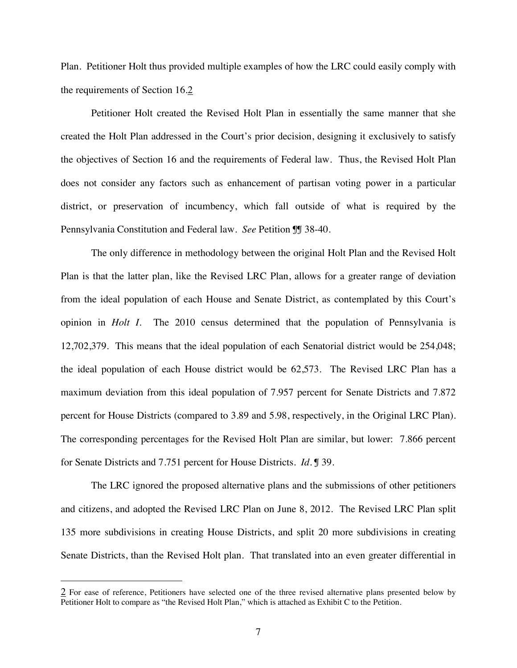Plan. Petitioner Holt thus provided multiple examples of how the LRC could easily comply with the requirements of Section 16.[2](#page-11-0)

Petitioner Holt created the Revised Holt Plan in essentially the same manner that she created the Holt Plan addressed in the Court's prior decision, designing it exclusively to satisfy the objectives of Section 16 and the requirements of Federal law. Thus, the Revised Holt Plan does not consider any factors such as enhancement of partisan voting power in a particular district, or preservation of incumbency, which fall outside of what is required by the Pennsylvania Constitution and Federal law. *See* Petition ¶¶ 38-40.

The only difference in methodology between the original Holt Plan and the Revised Holt Plan is that the latter plan, like the Revised LRC Plan, allows for a greater range of deviation from the ideal population of each House and Senate District, as contemplated by this Court's opinion in *Holt I*. The 2010 census determined that the population of Pennsylvania is 12,702,379. This means that the ideal population of each Senatorial district would be 254,048; the ideal population of each House district would be 62,573. The Revised LRC Plan has a maximum deviation from this ideal population of 7.957 percent for Senate Districts and 7.872 percent for House Districts (compared to 3.89 and 5.98, respectively, in the Original LRC Plan). The corresponding percentages for the Revised Holt Plan are similar, but lower: 7.866 percent for Senate Districts and 7.751 percent for House Districts. *Id.* ¶ 39.

The LRC ignored the proposed alternative plans and the submissions of other petitioners and citizens, and adopted the Revised LRC Plan on June 8, 2012. The Revised LRC Plan split 135 more subdivisions in creating House Districts, and split 20 more subdivisions in creating Senate Districts, than the Revised Holt plan. That translated into an even greater differential in

<span id="page-11-0"></span> $\frac{2}{3}$  For ease of reference, Petitioners have selected one of the three revised alternative plans presented below by Petitioner Holt to compare as "the Revised Holt Plan," which is attached as Exhibit C to the Petition.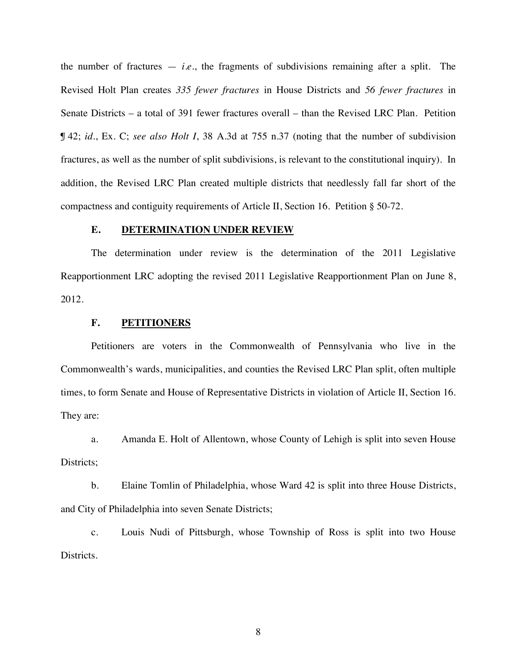the number of fractures  $-$  *i.e.*, the fragments of subdivisions remaining after a split. The Revised Holt Plan creates *335 fewer fractures* in House Districts and *56 fewer fractures* in Senate Districts – a total of 391 fewer fractures overall – than the Revised LRC Plan. Petition ¶ 42; *id.*, Ex. C; *see also Holt I*, 38 A.3d at 755 n.37 (noting that the number of subdivision fractures, as well as the number of split subdivisions, is relevant to the constitutional inquiry). In addition, the Revised LRC Plan created multiple districts that needlessly fall far short of the compactness and contiguity requirements of Article II, Section 16. Petition § 50-72.

### <span id="page-12-0"></span>**E. DETERMINATION UNDER REVIEW**

The determination under review is the determination of the 2011 Legislative Reapportionment LRC adopting the revised 2011 Legislative Reapportionment Plan on June 8, 2012.

#### <span id="page-12-1"></span>**F. PETITIONERS**

Petitioners are voters in the Commonwealth of Pennsylvania who live in the Commonwealth's wards, municipalities, and counties the Revised LRC Plan split, often multiple times, to form Senate and House of Representative Districts in violation of Article II, Section 16. They are:

a. Amanda E. Holt of Allentown, whose County of Lehigh is split into seven House Districts;

b. Elaine Tomlin of Philadelphia, whose Ward 42 is split into three House Districts, and City of Philadelphia into seven Senate Districts;

c. Louis Nudi of Pittsburgh, whose Township of Ross is split into two House Districts.

8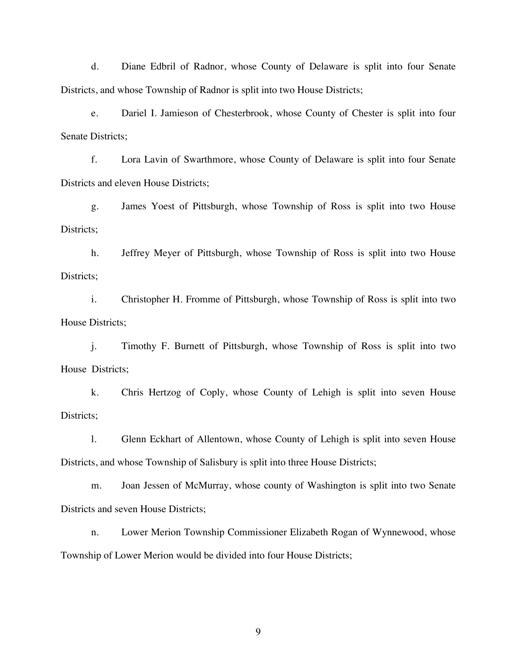d. Diane Edbril of Radnor, whose County of Delaware is split into four Senate Districts, and whose Township of Radnor is split into two House Districts;

e. Dariel I. Jamieson of Chesterbrook, whose County of Chester is split into four Senate Districts;

f. Lora Lavin of Swarthmore, whose County of Delaware is split into four Senate Districts and eleven House Districts;

g. James Yoest of Pittsburgh, whose Township of Ross is split into two House Districts:

h. Jeffrey Meyer of Pittsburgh, whose Township of Ross is split into two House Districts;

i. Christopher H. Fromme of Pittsburgh, whose Township of Ross is split into two House Districts;

j. Timothy F. Burnett of Pittsburgh, whose Township of Ross is split into two House Districts;

k. Chris Hertzog of Coply, whose County of Lehigh is split into seven House Districts;

l. Glenn Eckhart of Allentown, whose County of Lehigh is split into seven House Districts, and whose Township of Salisbury is split into three House Districts;

m. Joan Jessen of McMurray, whose county of Washington is split into two Senate Districts and seven House Districts;

n. Lower Merion Township Commissioner Elizabeth Rogan of Wynnewood, whose Township of Lower Merion would be divided into four House Districts;

9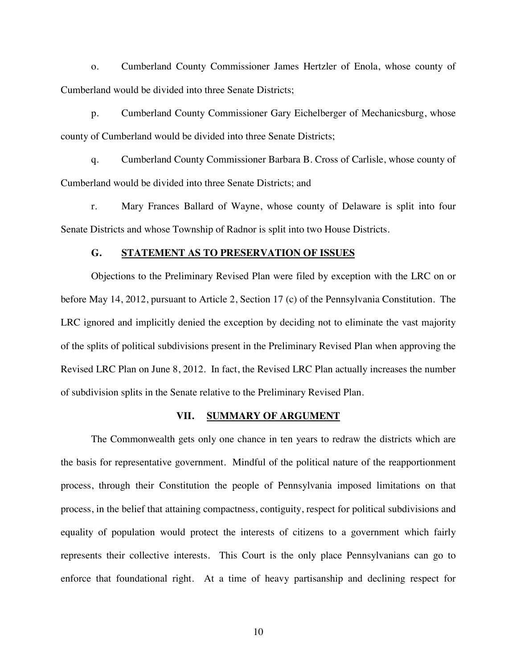o. Cumberland County Commissioner James Hertzler of Enola, whose county of Cumberland would be divided into three Senate Districts;

p. Cumberland County Commissioner Gary Eichelberger of Mechanicsburg, whose county of Cumberland would be divided into three Senate Districts;

q. Cumberland County Commissioner Barbara B. Cross of Carlisle, whose county of Cumberland would be divided into three Senate Districts; and

r. Mary Frances Ballard of Wayne, whose county of Delaware is split into four Senate Districts and whose Township of Radnor is split into two House Districts.

#### <span id="page-14-0"></span>**G. STATEMENT AS TO PRESERVATION OF ISSUES**

Objections to the Preliminary Revised Plan were filed by exception with the LRC on or before May 14, 2012, pursuant to Article 2, Section 17 (c) of the Pennsylvania Constitution. The LRC ignored and implicitly denied the exception by deciding not to eliminate the vast majority of the splits of political subdivisions present in the Preliminary Revised Plan when approving the Revised LRC Plan on June 8, 2012. In fact, the Revised LRC Plan actually increases the number of subdivision splits in the Senate relative to the Preliminary Revised Plan.

#### <span id="page-14-1"></span>**VII. SUMMARY OF ARGUMENT**

The Commonwealth gets only one chance in ten years to redraw the districts which are the basis for representative government. Mindful of the political nature of the reapportionment process, through their Constitution the people of Pennsylvania imposed limitations on that process, in the belief that attaining compactness, contiguity, respect for political subdivisions and equality of population would protect the interests of citizens to a government which fairly represents their collective interests. This Court is the only place Pennsylvanians can go to enforce that foundational right. At a time of heavy partisanship and declining respect for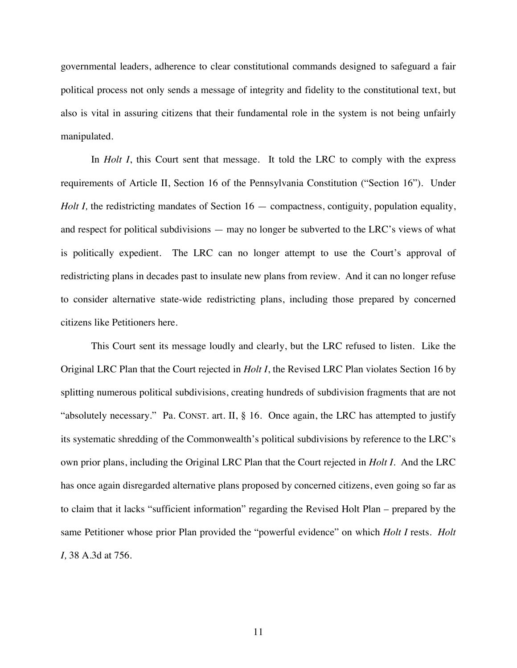governmental leaders, adherence to clear constitutional commands designed to safeguard a fair political process not only sends a message of integrity and fidelity to the constitutional text, but also is vital in assuring citizens that their fundamental role in the system is not being unfairly manipulated.

In *Holt I*, this Court sent that message. It told the LRC to comply with the express requirements of Article II, Section 16 of the Pennsylvania Constitution ("Section 16"). Under *Holt I*, the redistricting mandates of Section 16 — compactness, contiguity, population equality, and respect for political subdivisions — may no longer be subverted to the LRC's views of what is politically expedient. The LRC can no longer attempt to use the Court's approval of redistricting plans in decades past to insulate new plans from review. And it can no longer refuse to consider alternative state-wide redistricting plans, including those prepared by concerned citizens like Petitioners here.

This Court sent its message loudly and clearly, but the LRC refused to listen. Like the Original LRC Plan that the Court rejected in *Holt I*, the Revised LRC Plan violates Section 16 by splitting numerous political subdivisions, creating hundreds of subdivision fragments that are not "absolutely necessary." Pa. CONST. art. II, § 16. Once again, the LRC has attempted to justify its systematic shredding of the Commonwealth's political subdivisions by reference to the LRC's own prior plans, including the Original LRC Plan that the Court rejected in *Holt I*. And the LRC has once again disregarded alternative plans proposed by concerned citizens, even going so far as to claim that it lacks "sufficient information" regarding the Revised Holt Plan – prepared by the same Petitioner whose prior Plan provided the "powerful evidence" on which *Holt I* rests. *Holt I,* 38 A.3d at 756.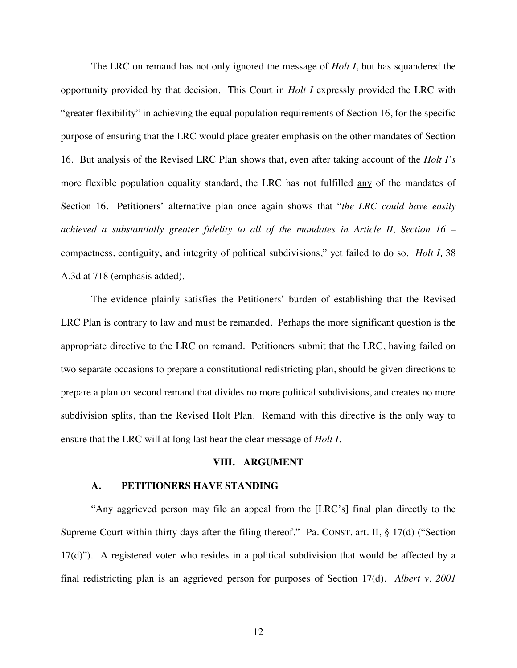The LRC on remand has not only ignored the message of *Holt I*, but has squandered the opportunity provided by that decision. This Court in *Holt I* expressly provided the LRC with "greater flexibility" in achieving the equal population requirements of Section 16, for the specific purpose of ensuring that the LRC would place greater emphasis on the other mandates of Section 16. But analysis of the Revised LRC Plan shows that, even after taking account of the *Holt I's* more flexible population equality standard, the LRC has not fulfilled any of the mandates of Section 16. Petitioners' alternative plan once again shows that "*the LRC could have easily achieved a substantially greater fidelity to all of the mandates in Article II, Section 16* – compactness, contiguity, and integrity of political subdivisions," yet failed to do so. *Holt I,* 38 A.3d at 718 (emphasis added).

The evidence plainly satisfies the Petitioners' burden of establishing that the Revised LRC Plan is contrary to law and must be remanded. Perhaps the more significant question is the appropriate directive to the LRC on remand. Petitioners submit that the LRC, having failed on two separate occasions to prepare a constitutional redistricting plan, should be given directions to prepare a plan on second remand that divides no more political subdivisions, and creates no more subdivision splits, than the Revised Holt Plan. Remand with this directive is the only way to ensure that the LRC will at long last hear the clear message of *Holt I.*

#### <span id="page-16-0"></span>**VIII. ARGUMENT**

#### <span id="page-16-1"></span>**A. PETITIONERS HAVE STANDING**

"Any aggrieved person may file an appeal from the [LRC's] final plan directly to the Supreme Court within thirty days after the filing thereof." Pa. CONST. art. II, § 17(d) ("Section  $17(d)$ "). A registered voter who resides in a political subdivision that would be affected by a final redistricting plan is an aggrieved person for purposes of Section 17(d). *Albert v. 2001*

12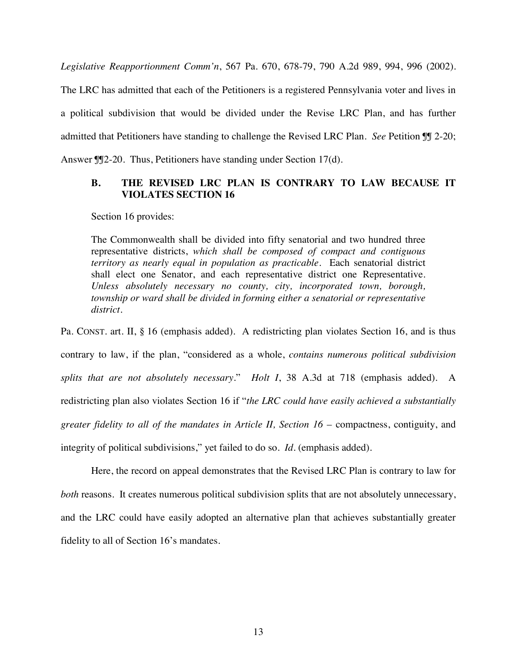*Legislative Reapportionment Comm'n*, 567 Pa. 670, 678-79, 790 A.2d 989, 994, 996 (2002). The LRC has admitted that each of the Petitioners is a registered Pennsylvania voter and lives in

a political subdivision that would be divided under the Revise LRC Plan, and has further admitted that Petitioners have standing to challenge the Revised LRC Plan. *See* Petition ¶¶ 2-20; Answer  $\mathbb{J}$  20. Thus, Petitioners have standing under Section 17(d).

## <span id="page-17-0"></span>**B. THE REVISED LRC PLAN IS CONTRARY TO LAW BECAUSE IT VIOLATES SECTION 16**

Section 16 provides:

The Commonwealth shall be divided into fifty senatorial and two hundred three representative districts, *which shall be composed of compact and contiguous territory as nearly equal in population as practicable*. Each senatorial district shall elect one Senator, and each representative district one Representative. *Unless absolutely necessary no county, city, incorporated town, borough, township or ward shall be divided in forming either a senatorial or representative district*.

Pa. CONST. art. II, § 16 (emphasis added). A redistricting plan violates Section 16, and is thus contrary to law, if the plan, "considered as a whole, *contains numerous political subdivision splits that are not absolutely necessary*." *Holt I*, 38 A.3d at 718 (emphasis added). A redistricting plan also violates Section 16 if "*the LRC could have easily achieved a substantially greater fidelity to all of the mandates in Article II, Section 16* – compactness, contiguity, and integrity of political subdivisions," yet failed to do so. *Id.* (emphasis added).

Here, the record on appeal demonstrates that the Revised LRC Plan is contrary to law for *both* reasons. It creates numerous political subdivision splits that are not absolutely unnecessary, and the LRC could have easily adopted an alternative plan that achieves substantially greater fidelity to all of Section 16's mandates.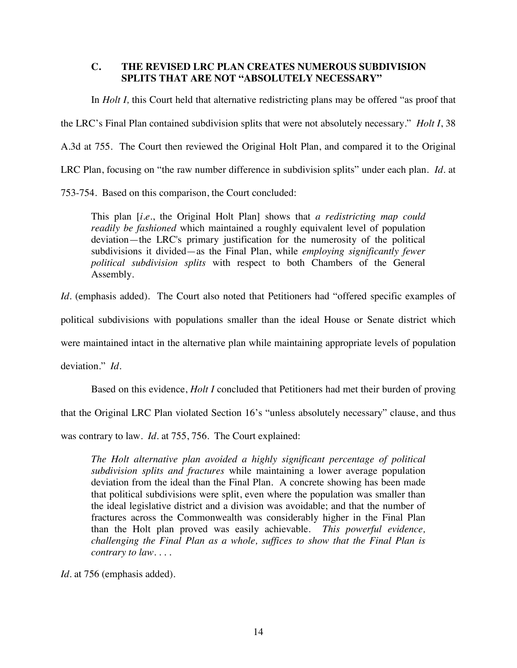## <span id="page-18-0"></span>**C. THE REVISED LRC PLAN CREATES NUMEROUS SUBDIVISION SPLITS THAT ARE NOT "ABSOLUTELY NECESSARY"**

In *Holt I,* this Court held that alternative redistricting plans may be offered "as proof that the LRC's Final Plan contained subdivision splits that were not absolutely necessary." *Holt I*, 38 A.3d at 755. The Court then reviewed the Original Holt Plan, and compared it to the Original LRC Plan, focusing on "the raw number difference in subdivision splits" under each plan. *Id.* at 753-754. Based on this comparison, the Court concluded:

This plan [*i.e.*, the Original Holt Plan] shows that *a redistricting map could*

*readily be fashioned* which maintained a roughly equivalent level of population deviation—the LRC's primary justification for the numerosity of the political subdivisions it divided—as the Final Plan, while *employing significantly fewer political subdivision splits* with respect to both Chambers of the General Assembly.

*Id.* (emphasis added). The Court also noted that Petitioners had "offered specific examples of

political subdivisions with populations smaller than the ideal House or Senate district which

were maintained intact in the alternative plan while maintaining appropriate levels of population

deviation." *Id.*

Based on this evidence, *Holt I* concluded that Petitioners had met their burden of proving

that the Original LRC Plan violated Section 16's "unless absolutely necessary" clause, and thus

was contrary to law. *Id.* at 755, 756. The Court explained:

*The Holt alternative plan avoided a highly significant percentage of political subdivision splits and fractures* while maintaining a lower average population deviation from the ideal than the Final Plan. A concrete showing has been made that political subdivisions were split, even where the population was smaller than the ideal legislative district and a division was avoidable; and that the number of fractures across the Commonwealth was considerably higher in the Final Plan than the Holt plan proved was easily achievable. *This powerful evidence, challenging the Final Plan as a whole, suffices to show that the Final Plan is contrary to law. . . .*

*Id.* at 756 (emphasis added).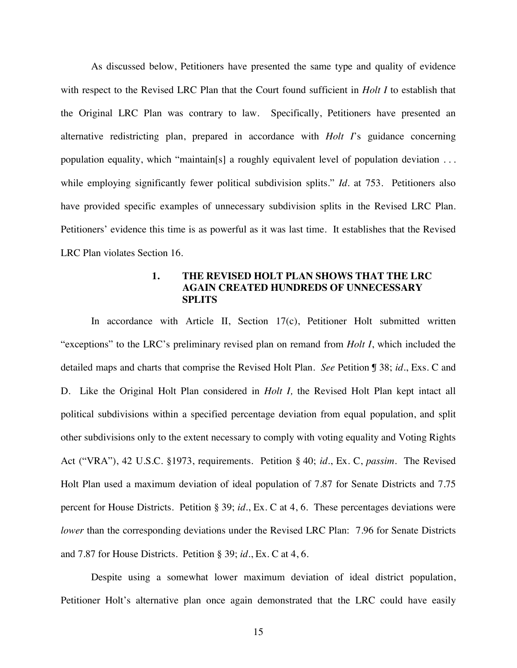As discussed below, Petitioners have presented the same type and quality of evidence with respect to the Revised LRC Plan that the Court found sufficient in *Holt I* to establish that the Original LRC Plan was contrary to law. Specifically, Petitioners have presented an alternative redistricting plan, prepared in accordance with *Holt I*'s guidance concerning population equality, which "maintain[s] a roughly equivalent level of population deviation . . . while employing significantly fewer political subdivision splits." *Id.* at 753. Petitioners also have provided specific examples of unnecessary subdivision splits in the Revised LRC Plan. Petitioners' evidence this time is as powerful as it was last time. It establishes that the Revised LRC Plan violates Section 16.

## **1. THE REVISED HOLT PLAN SHOWS THAT THE LRC AGAIN CREATED HUNDREDS OF UNNECESSARY SPLITS**

In accordance with Article II, Section 17(c), Petitioner Holt submitted written "exceptions" to the LRC's preliminary revised plan on remand from *Holt I*, which included the detailed maps and charts that comprise the Revised Holt Plan. *See* Petition ¶ 38; *id.*, Exs. C and D. Like the Original Holt Plan considered in *Holt I,* the Revised Holt Plan kept intact all political subdivisions within a specified percentage deviation from equal population, and split other subdivisions only to the extent necessary to comply with voting equality and Voting Rights Act ("VRA"), 42 U.S.C. §1973, requirements. Petition § 40; *id.*, Ex. C, *passim*. The Revised Holt Plan used a maximum deviation of ideal population of 7.87 for Senate Districts and 7.75 percent for House Districts. Petition § 39; *id.*, Ex. C at 4, 6. These percentages deviations were *lower* than the corresponding deviations under the Revised LRC Plan: 7.96 for Senate Districts and 7.87 for House Districts. Petition § 39; *id.*, Ex. C at 4, 6.

Despite using a somewhat lower maximum deviation of ideal district population, Petitioner Holt's alternative plan once again demonstrated that the LRC could have easily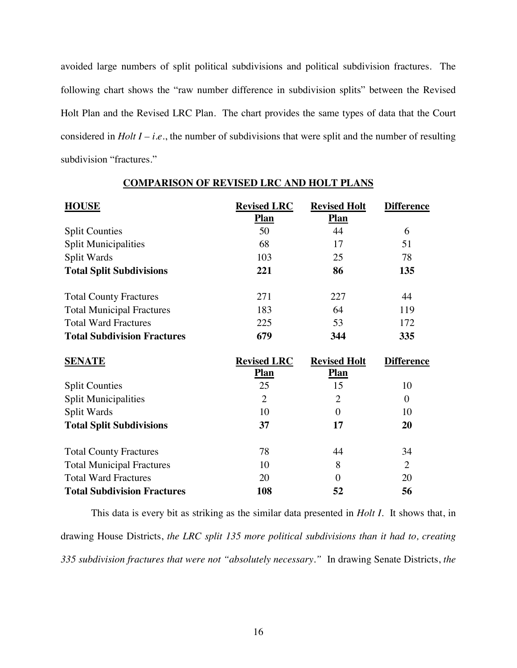avoided large numbers of split political subdivisions and political subdivision fractures. The following chart shows the "raw number difference in subdivision splits" between the Revised Holt Plan and the Revised LRC Plan. The chart provides the same types of data that the Court considered in *Holt I – i.e.*, the number of subdivisions that were split and the number of resulting subdivision "fractures."

| <b>HOUSE</b>                       | <b>Revised LRC</b> | <b>Revised Holt</b> | <b>Difference</b> |  |
|------------------------------------|--------------------|---------------------|-------------------|--|
|                                    | <b>Plan</b>        | <b>Plan</b>         |                   |  |
| <b>Split Counties</b>              | 50                 | 44                  | 6                 |  |
| <b>Split Municipalities</b>        | 68                 | 17                  | 51                |  |
| Split Wards                        | 103                | 25                  | 78                |  |
| <b>Total Split Subdivisions</b>    | 221                | 86                  | 135               |  |
| <b>Total County Fractures</b>      | 271                | 227                 | 44                |  |
| <b>Total Municipal Fractures</b>   | 183                | 64                  | 119               |  |
| <b>Total Ward Fractures</b>        | 225                | 53                  | 172               |  |
| <b>Total Subdivision Fractures</b> | 679                | 344                 | 335               |  |
| <b>SENATE</b>                      | <b>Revised LRC</b> | <b>Revised Holt</b> | <b>Difference</b> |  |
|                                    | <b>Plan</b>        | <b>Plan</b>         |                   |  |
| <b>Split Counties</b>              | 25                 | 15                  | 10                |  |
| <b>Split Municipalities</b>        | $\overline{2}$     | $\overline{2}$      | $\Omega$          |  |
| Split Wards                        | 10                 | 0                   | 10                |  |

**Total Split Subdivisions** 37 17 20

Total County Fractures 78 78 44 34 Total Municipal Fractures 10 8 2 Total Ward Fractures 20 0 20

#### **COMPARISON OF REVISED LRC AND HOLT PLANS**

**Total Subdivision Fractures 108 52 56** This data is every bit as striking as the similar data presented in *Holt I*. It shows that, in drawing House Districts, *the LRC split 135 more political subdivisions than it had to, creating 335 subdivision fractures that were not "absolutely necessary."* In drawing Senate Districts, *the*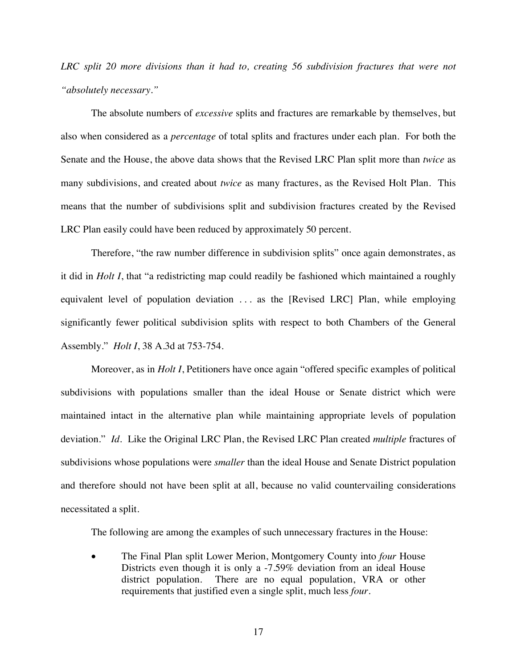*LRC split 20 more divisions than it had to, creating 56 subdivision fractures that were not "absolutely necessary."*

The absolute numbers of *excessive* splits and fractures are remarkable by themselves, but also when considered as a *percentage* of total splits and fractures under each plan. For both the Senate and the House, the above data shows that the Revised LRC Plan split more than *twice* as many subdivisions, and created about *twice* as many fractures, as the Revised Holt Plan. This means that the number of subdivisions split and subdivision fractures created by the Revised LRC Plan easily could have been reduced by approximately 50 percent.

Therefore, "the raw number difference in subdivision splits" once again demonstrates, as it did in *Holt I*, that "a redistricting map could readily be fashioned which maintained a roughly equivalent level of population deviation ... as the [Revised LRC] Plan, while employing significantly fewer political subdivision splits with respect to both Chambers of the General Assembly." *Holt I*, 38 A.3d at 753-754.

Moreover, as in *Holt I*, Petitioners have once again "offered specific examples of political subdivisions with populations smaller than the ideal House or Senate district which were maintained intact in the alternative plan while maintaining appropriate levels of population deviation." *Id.* Like the Original LRC Plan, the Revised LRC Plan created *multiple* fractures of subdivisions whose populations were *smaller* than the ideal House and Senate District population and therefore should not have been split at all, because no valid countervailing considerations necessitated a split.

The following are among the examples of such unnecessary fractures in the House:

• The Final Plan split Lower Merion, Montgomery County into *four* House Districts even though it is only a -7.59% deviation from an ideal House district population. There are no equal population, VRA or other requirements that justified even a single split, much less *four*.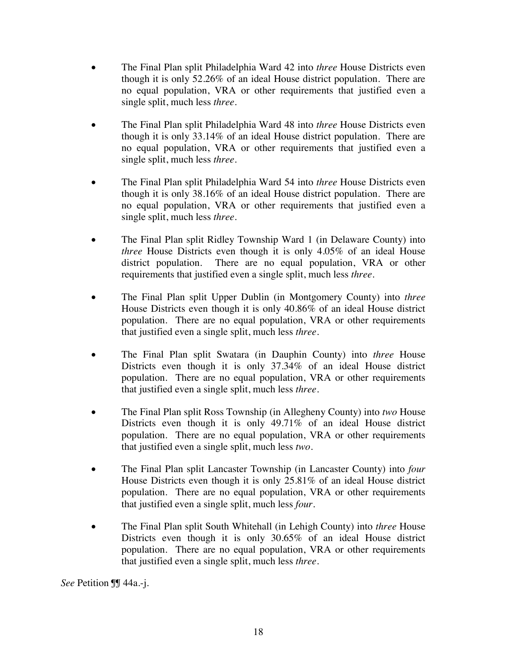- The Final Plan split Philadelphia Ward 42 into *three* House Districts even though it is only 52.26% of an ideal House district population. There are no equal population, VRA or other requirements that justified even a single split, much less *three*.
- x The Final Plan split Philadelphia Ward 48 into *three* House Districts even though it is only 33.14% of an ideal House district population. There are no equal population, VRA or other requirements that justified even a single split, much less *three*.
- x The Final Plan split Philadelphia Ward 54 into *three* House Districts even though it is only 38.16% of an ideal House district population. There are no equal population, VRA or other requirements that justified even a single split, much less *three*.
- The Final Plan split Ridley Township Ward 1 (in Delaware County) into *three* House Districts even though it is only 4.05% of an ideal House district population. There are no equal population, VRA or other requirements that justified even a single split, much less *three*.
- x The Final Plan split Upper Dublin (in Montgomery County) into *three* House Districts even though it is only 40.86% of an ideal House district population. There are no equal population, VRA or other requirements that justified even a single split, much less *three*.
- x The Final Plan split Swatara (in Dauphin County) into *three* House Districts even though it is only 37.34% of an ideal House district population. There are no equal population, VRA or other requirements that justified even a single split, much less *three*.
- x The Final Plan split Ross Township (in Allegheny County) into *two* House Districts even though it is only 49.71% of an ideal House district population. There are no equal population, VRA or other requirements that justified even a single split, much less *two*.
- x The Final Plan split Lancaster Township (in Lancaster County) into *four* House Districts even though it is only 25.81% of an ideal House district population. There are no equal population, VRA or other requirements that justified even a single split, much less *four*.
- The Final Plan split South Whitehall (in Lehigh County) into *three* House Districts even though it is only 30.65% of an ideal House district population. There are no equal population, VRA or other requirements that justified even a single split, much less *three*.

*See* Petition ¶¶ 44a.-j.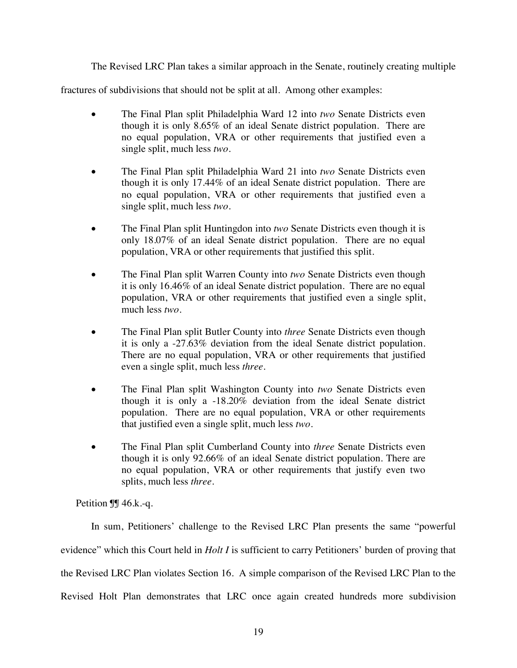The Revised LRC Plan takes a similar approach in the Senate, routinely creating multiple

fractures of subdivisions that should not be split at all. Among other examples:

- The Final Plan split Philadelphia Ward 12 into *two* Senate Districts even though it is only 8.65% of an ideal Senate district population. There are no equal population, VRA or other requirements that justified even a single split, much less *two*.
- The Final Plan split Philadelphia Ward 21 into *two* Senate Districts even though it is only 17.44% of an ideal Senate district population. There are no equal population, VRA or other requirements that justified even a single split, much less *two.*
- The Final Plan split Huntingdon into *two* Senate Districts even though it is only 18.07% of an ideal Senate district population. There are no equal population, VRA or other requirements that justified this split.
- The Final Plan split Warren County into *two* Senate Districts even though it is only 16.46% of an ideal Senate district population. There are no equal population, VRA or other requirements that justified even a single split, much less *two*.
- The Final Plan split Butler County into *three* Senate Districts even though it is only a -27.63% deviation from the ideal Senate district population. There are no equal population, VRA or other requirements that justified even a single split, much less *three*.
- The Final Plan split Washington County into *two* Senate Districts even though it is only a -18.20% deviation from the ideal Senate district population. There are no equal population, VRA or other requirements that justified even a single split, much less *two*.
- The Final Plan split Cumberland County into *three* Senate Districts even though it is only 92.66% of an ideal Senate district population. There are no equal population, VRA or other requirements that justify even two splits, much less *three*.

Petition  $\P$  46.k.-q.

In sum, Petitioners' challenge to the Revised LRC Plan presents the same "powerful evidence" which this Court held in *Holt I* is sufficient to carry Petitioners' burden of proving that the Revised LRC Plan violates Section 16. A simple comparison of the Revised LRC Plan to the Revised Holt Plan demonstrates that LRC once again created hundreds more subdivision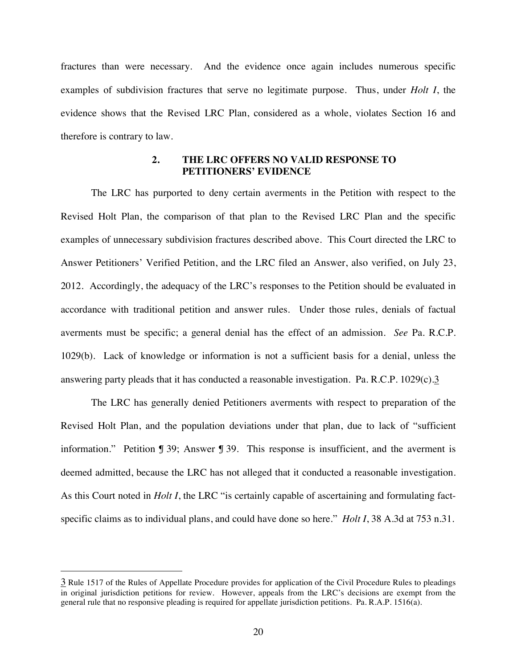fractures than were necessary. And the evidence once again includes numerous specific examples of subdivision fractures that serve no legitimate purpose. Thus, under *Holt I*, the evidence shows that the Revised LRC Plan, considered as a whole, violates Section 16 and therefore is contrary to law.

### **2. THE LRC OFFERS NO VALID RESPONSE TO PETITIONERS' EVIDENCE**

The LRC has purported to deny certain averments in the Petition with respect to the Revised Holt Plan, the comparison of that plan to the Revised LRC Plan and the specific examples of unnecessary subdivision fractures described above. This Court directed the LRC to Answer Petitioners' Verified Petition, and the LRC filed an Answer, also verified, on July 23, 2012. Accordingly, the adequacy of the LRC's responses to the Petition should be evaluated in accordance with traditional petition and answer rules. Under those rules, denials of factual averments must be specific; a general denial has the effect of an admission. *See* Pa. R.C.P. 1029(b). Lack of knowledge or information is not a sufficient basis for a denial, unless the answering party pleads that it has conducted a reasonable investigation. Pa. R.C.P.  $1029(c) \cdot 3$  $1029(c) \cdot 3$ 

The LRC has generally denied Petitioners averments with respect to preparation of the Revised Holt Plan, and the population deviations under that plan, due to lack of "sufficient information." Petition ¶ 39; Answer ¶ 39. This response is insufficient, and the averment is deemed admitted, because the LRC has not alleged that it conducted a reasonable investigation. As this Court noted in *Holt I*, the LRC "is certainly capable of ascertaining and formulating factspecific claims as to individual plans, and could have done so here." *Holt I*, 38 A.3d at 753 n.31.

<span id="page-24-0"></span><sup>3</sup> Rule 1517 of the Rules of Appellate Procedure provides for application of the Civil Procedure Rules to pleadings in original jurisdiction petitions for review. However, appeals from the LRC's decisions are exempt from the general rule that no responsive pleading is required for appellate jurisdiction petitions. Pa. R.A.P. 1516(a).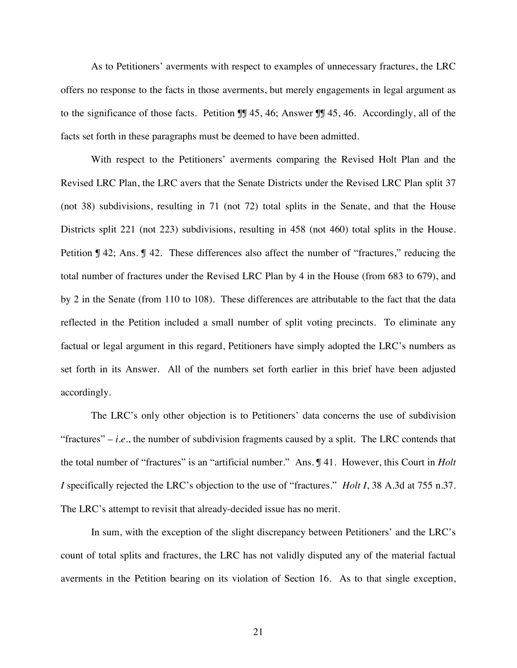As to Petitioners' averments with respect to examples of unnecessary fractures, the LRC offers no response to the facts in those averments, but merely engagements in legal argument as to the significance of those facts. Petition ¶¶ 45, 46; Answer ¶¶ 45, 46. Accordingly, all of the facts set forth in these paragraphs must be deemed to have been admitted.

With respect to the Petitioners' averments comparing the Revised Holt Plan and the Revised LRC Plan, the LRC avers that the Senate Districts under the Revised LRC Plan split 37 (not 38) subdivisions, resulting in 71 (not 72) total splits in the Senate, and that the House Districts split 221 (not 223) subdivisions, resulting in 458 (not 460) total splits in the House. Petition ¶ 42; Ans. ¶ 42. These differences also affect the number of "fractures," reducing the total number of fractures under the Revised LRC Plan by 4 in the House (from 683 to 679), and by 2 in the Senate (from 110 to 108). These differences are attributable to the fact that the data reflected in the Petition included a small number of split voting precincts. To eliminate any factual or legal argument in this regard, Petitioners have simply adopted the LRC's numbers as set forth in its Answer. All of the numbers set forth earlier in this brief have been adjusted accordingly.

The LRC's only other objection is to Petitioners' data concerns the use of subdivision "fractures" – *i.e.*, the number of subdivision fragments caused by a split. The LRC contends that the total number of "fractures" is an "artificial number." Ans. ¶ 41. However, this Court in *Holt I* specifically rejected the LRC's objection to the use of "fractures." *Holt I*, 38 A.3d at 755 n.37. The LRC's attempt to revisit that already-decided issue has no merit.

In sum, with the exception of the slight discrepancy between Petitioners' and the LRC's count of total splits and fractures, the LRC has not validly disputed any of the material factual averments in the Petition bearing on its violation of Section 16. As to that single exception,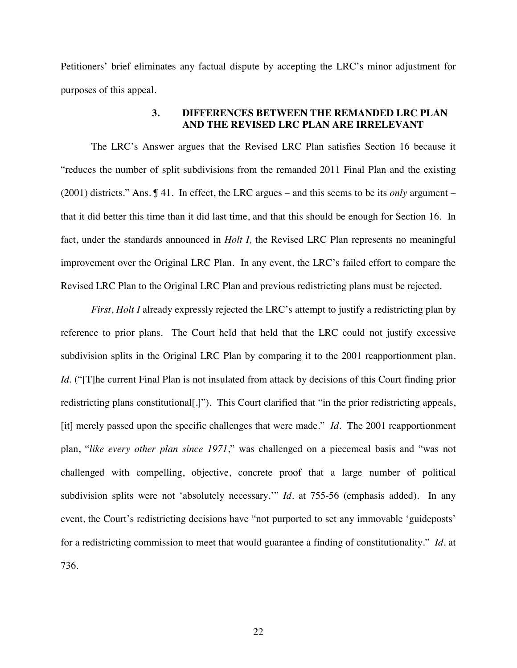Petitioners' brief eliminates any factual dispute by accepting the LRC's minor adjustment for purposes of this appeal.

## **3. DIFFERENCES BETWEEN THE REMANDED LRC PLAN AND THE REVISED LRC PLAN ARE IRRELEVANT**

The LRC's Answer argues that the Revised LRC Plan satisfies Section 16 because it "reduces the number of split subdivisions from the remanded 2011 Final Plan and the existing (2001) districts." Ans. ¶ 41. In effect, the LRC argues – and this seems to be its *only* argument – that it did better this time than it did last time, and that this should be enough for Section 16. In fact, under the standards announced in *Holt I,* the Revised LRC Plan represents no meaningful improvement over the Original LRC Plan. In any event, the LRC's failed effort to compare the Revised LRC Plan to the Original LRC Plan and previous redistricting plans must be rejected.

*First*, *Holt I* already expressly rejected the LRC's attempt to justify a redistricting plan by reference to prior plans. The Court held that held that the LRC could not justify excessive subdivision splits in the Original LRC Plan by comparing it to the 2001 reapportionment plan. *Id.* ("[T]he current Final Plan is not insulated from attack by decisions of this Court finding prior redistricting plans constitutional[.]"). This Court clarified that "in the prior redistricting appeals, [it] merely passed upon the specific challenges that were made." *Id*. The 2001 reapportionment plan, "*like every other plan since 1971*," was challenged on a piecemeal basis and "was not challenged with compelling, objective, concrete proof that a large number of political subdivision splits were not 'absolutely necessary.'" *Id*. at 755-56 (emphasis added). In any event, the Court's redistricting decisions have "not purported to set any immovable 'guideposts' for a redistricting commission to meet that would guarantee a finding of constitutionality." *Id.* at 736.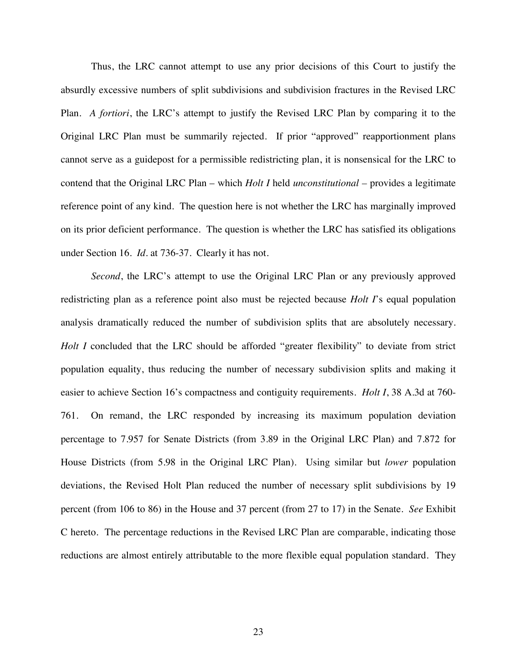Thus, the LRC cannot attempt to use any prior decisions of this Court to justify the absurdly excessive numbers of split subdivisions and subdivision fractures in the Revised LRC Plan. *A fortiori*, the LRC's attempt to justify the Revised LRC Plan by comparing it to the Original LRC Plan must be summarily rejected. If prior "approved" reapportionment plans cannot serve as a guidepost for a permissible redistricting plan, it is nonsensical for the LRC to contend that the Original LRC Plan – which *Holt I* held *unconstitutional –* provides a legitimate reference point of any kind. The question here is not whether the LRC has marginally improved on its prior deficient performance. The question is whether the LRC has satisfied its obligations under Section 16. *Id.* at 736-37. Clearly it has not.

*Second*, the LRC's attempt to use the Original LRC Plan or any previously approved redistricting plan as a reference point also must be rejected because *Holt I*'s equal population analysis dramatically reduced the number of subdivision splits that are absolutely necessary. *Holt I* concluded that the LRC should be afforded "greater flexibility" to deviate from strict population equality, thus reducing the number of necessary subdivision splits and making it easier to achieve Section 16's compactness and contiguity requirements. *Holt I*, 38 A.3d at 760- 761. On remand, the LRC responded by increasing its maximum population deviation percentage to 7.957 for Senate Districts (from 3.89 in the Original LRC Plan) and 7.872 for House Districts (from 5.98 in the Original LRC Plan). Using similar but *lower* population deviations, the Revised Holt Plan reduced the number of necessary split subdivisions by 19 percent (from 106 to 86) in the House and 37 percent (from 27 to 17) in the Senate. *See* Exhibit C hereto. The percentage reductions in the Revised LRC Plan are comparable, indicating those reductions are almost entirely attributable to the more flexible equal population standard. They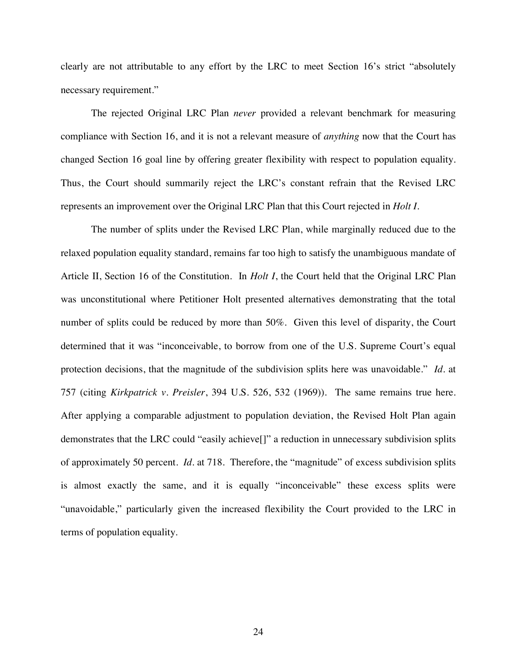clearly are not attributable to any effort by the LRC to meet Section 16's strict "absolutely necessary requirement."

The rejected Original LRC Plan *never* provided a relevant benchmark for measuring compliance with Section 16, and it is not a relevant measure of *anything* now that the Court has changed Section 16 goal line by offering greater flexibility with respect to population equality. Thus, the Court should summarily reject the LRC's constant refrain that the Revised LRC represents an improvement over the Original LRC Plan that this Court rejected in *Holt I.*

The number of splits under the Revised LRC Plan, while marginally reduced due to the relaxed population equality standard, remains far too high to satisfy the unambiguous mandate of Article II, Section 16 of the Constitution. In *Holt I*, the Court held that the Original LRC Plan was unconstitutional where Petitioner Holt presented alternatives demonstrating that the total number of splits could be reduced by more than 50%. Given this level of disparity, the Court determined that it was "inconceivable, to borrow from one of the U.S. Supreme Court's equal protection decisions, that the magnitude of the subdivision splits here was unavoidable." *Id.* at 757 (citing *Kirkpatrick v. Preisler*, 394 U.S. 526, 532 (1969)). The same remains true here. After applying a comparable adjustment to population deviation, the Revised Holt Plan again demonstrates that the LRC could "easily achieve[]" a reduction in unnecessary subdivision splits of approximately 50 percent. *Id.* at 718. Therefore, the "magnitude" of excess subdivision splits is almost exactly the same, and it is equally "inconceivable" these excess splits were "unavoidable," particularly given the increased flexibility the Court provided to the LRC in terms of population equality.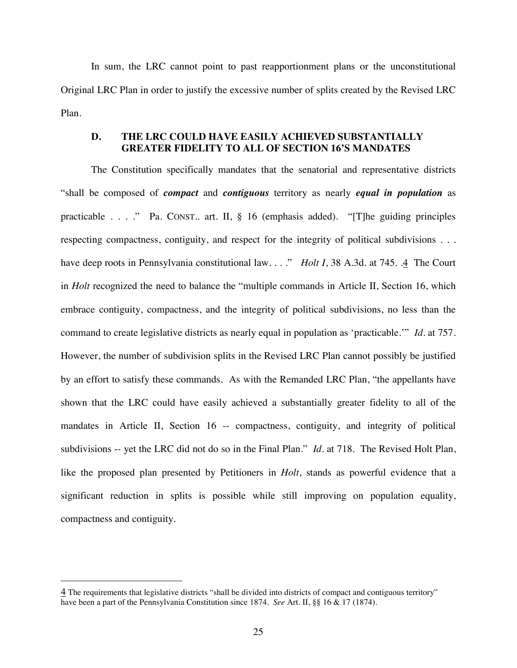In sum, the LRC cannot point to past reapportionment plans or the unconstitutional Original LRC Plan in order to justify the excessive number of splits created by the Revised LRC Plan.

## <span id="page-29-0"></span>**D. THE LRC COULD HAVE EASILY ACHIEVED SUBSTANTIALLY GREATER FIDELITY TO ALL OF SECTION 16'S MANDATES**

The Constitution specifically mandates that the senatorial and representative districts "shall be composed of *compact* and *contiguous* territory as nearly *equal in population* as practicable . . . ." Pa. CONST.. art. II, § 16 (emphasis added). "[T]he guiding principles respecting compactness, contiguity, and respect for the integrity of political subdivisions . . . have deep roots in Pennsylvania constitutional law. . . ." *Holt I*, 38 A.3d*.* [at 745. .4 The Court](#page-29-1) in *Holt* recognized the need to balance the "multiple commands in Article II, Section 16, which embrace contiguity, compactness, and the integrity of political subdivisions, no less than the command to create legislative districts as nearly equal in population as 'practicable.'" *Id.* at 757. However, the number of subdivision splits in the Revised LRC Plan cannot possibly be justified by an effort to satisfy these commands. As with the Remanded LRC Plan, "the appellants have shown that the LRC could have easily achieved a substantially greater fidelity to all of the mandates in Article II, Section 16 -- compactness, contiguity, and integrity of political subdivisions -- yet the LRC did not do so in the Final Plan." *Id.* at 718. The Revised Holt Plan, like the proposed plan presented by Petitioners in *Holt*, stands as powerful evidence that a significant reduction in splits is possible while still improving on population equality, compactness and contiguity.

<span id="page-29-1"></span><sup>4</sup> The requirements that legislative districts "shall be divided into districts of compact and contiguous territory" have been a part of the Pennsylvania Constitution since 1874. *See* Art. II, §§ 16 & 17 (1874).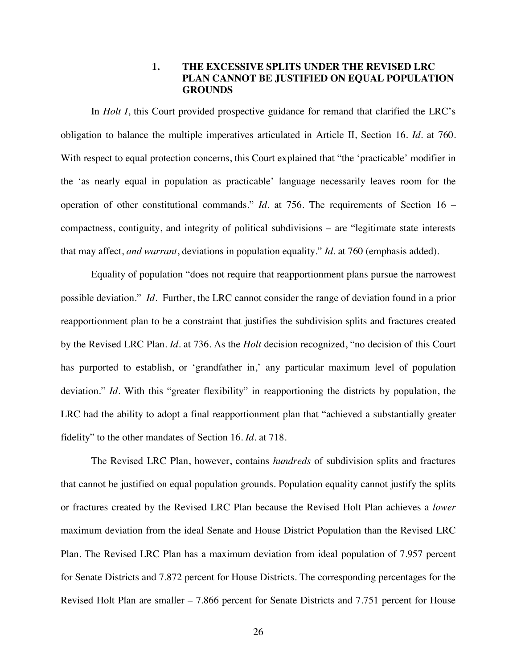## **1. THE EXCESSIVE SPLITS UNDER THE REVISED LRC PLAN CANNOT BE JUSTIFIED ON EQUAL POPULATION GROUNDS**

In *Holt I*, this Court provided prospective guidance for remand that clarified the LRC's obligation to balance the multiple imperatives articulated in Article II, Section 16. *Id*. at 760. With respect to equal protection concerns, this Court explained that "the 'practicable' modifier in the 'as nearly equal in population as practicable' language necessarily leaves room for the operation of other constitutional commands." *Id*. at 756. The requirements of Section 16 – compactness, contiguity, and integrity of political subdivisions – are "legitimate state interests that may affect, *and warrant*, deviations in population equality." *Id*. at 760 (emphasis added).

Equality of population "does not require that reapportionment plans pursue the narrowest possible deviation." *Id*. Further, the LRC cannot consider the range of deviation found in a prior reapportionment plan to be a constraint that justifies the subdivision splits and fractures created by the Revised LRC Plan. *Id*. at 736. As the *Holt* decision recognized, "no decision of this Court has purported to establish, or 'grandfather in,' any particular maximum level of population deviation." *Id*. With this "greater flexibility" in reapportioning the districts by population, the LRC had the ability to adopt a final reapportionment plan that "achieved a substantially greater fidelity" to the other mandates of Section 16. *Id*. at 718.

The Revised LRC Plan, however, contains *hundreds* of subdivision splits and fractures that cannot be justified on equal population grounds. Population equality cannot justify the splits or fractures created by the Revised LRC Plan because the Revised Holt Plan achieves a *lower* maximum deviation from the ideal Senate and House District Population than the Revised LRC Plan. The Revised LRC Plan has a maximum deviation from ideal population of 7.957 percent for Senate Districts and 7.872 percent for House Districts. The corresponding percentages for the Revised Holt Plan are smaller – 7.866 percent for Senate Districts and 7.751 percent for House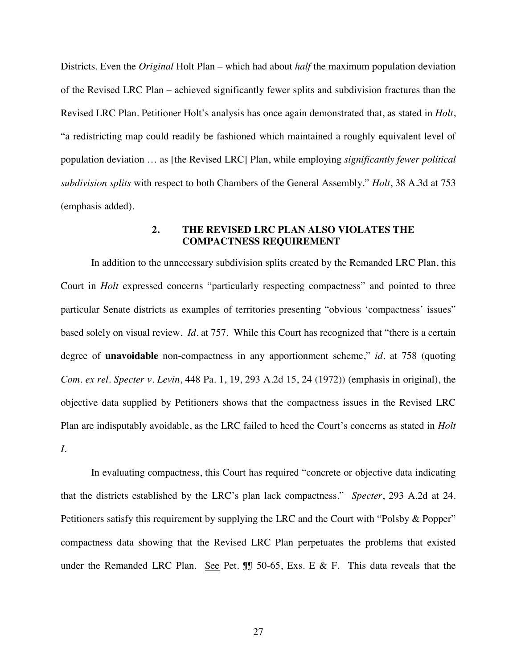Districts. Even the *Original* Holt Plan – which had about *half* the maximum population deviation of the Revised LRC Plan – achieved significantly fewer splits and subdivision fractures than the Revised LRC Plan. Petitioner Holt's analysis has once again demonstrated that, as stated in *Holt*, "a redistricting map could readily be fashioned which maintained a roughly equivalent level of population deviation … as [the Revised LRC] Plan, while employing *significantly fewer political subdivision splits* with respect to both Chambers of the General Assembly." *Holt*, 38 A.3d at 753 (emphasis added).

## **2. THE REVISED LRC PLAN ALSO VIOLATES THE COMPACTNESS REQUIREMENT**

In addition to the unnecessary subdivision splits created by the Remanded LRC Plan, this Court in *Holt* expressed concerns "particularly respecting compactness" and pointed to three particular Senate districts as examples of territories presenting "obvious 'compactness' issues" based solely on visual review. *Id.* at 757. While this Court has recognized that "there is a certain degree of **unavoidable** non-compactness in any apportionment scheme," *id.* at 758 (quoting *Com. ex rel. Specter v. Levin*, 448 Pa. 1, 19, 293 A.2d 15, 24 (1972)) (emphasis in original), the objective data supplied by Petitioners shows that the compactness issues in the Revised LRC Plan are indisputably avoidable, as the LRC failed to heed the Court's concerns as stated in *Holt I*.

In evaluating compactness, this Court has required "concrete or objective data indicating that the districts established by the LRC's plan lack compactness." *Specter*, 293 A.2d at 24. Petitioners satisfy this requirement by supplying the LRC and the Court with "Polsby & Popper" compactness data showing that the Revised LRC Plan perpetuates the problems that existed under the Remanded LRC Plan. See Pet.  $\mathbb{I}$  50-65, Exs. E & F. This data reveals that the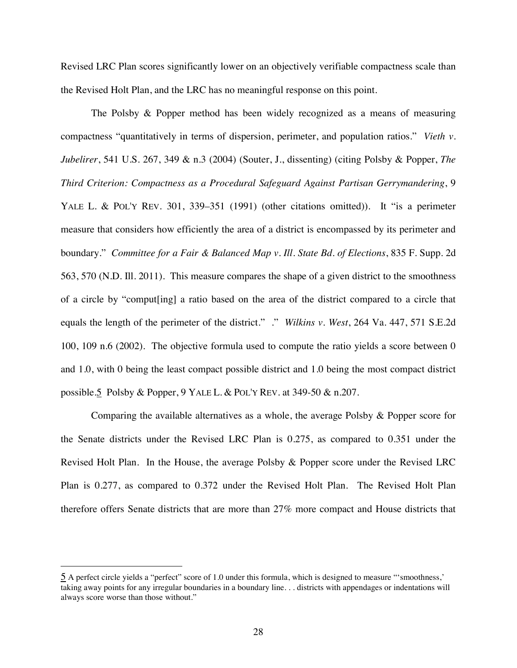Revised LRC Plan scores significantly lower on an objectively verifiable compactness scale than the Revised Holt Plan, and the LRC has no meaningful response on this point.

The Polsby & Popper method has been widely recognized as a means of measuring compactness "quantitatively in terms of dispersion, perimeter, and population ratios." *Vieth v. Jubelirer*, 541 U.S. 267, 349 & n.3 (2004) (Souter, J., dissenting) (citing Polsby & Popper, *The Third Criterion: Compactness as a Procedural Safeguard Against Partisan Gerrymandering*, 9 YALE L. & POL'Y REV. 301, 339–351 (1991) (other citations omitted)). It "is a perimeter measure that considers how efficiently the area of a district is encompassed by its perimeter and boundary." *Committee for a Fair & Balanced Map v. Ill. State Bd. of Elections*, 835 F. Supp. 2d 563, 570 (N.D. Ill. 2011). This measure compares the shape of a given district to the smoothness of a circle by "comput[ing] a ratio based on the area of the district compared to a circle that equals the length of the perimeter of the district." ." *Wilkins v. West*, 264 Va. 447, 571 S.E.2d 100, 109 n.6 (2002). The objective formula used to compute the ratio yields a score between 0 and 1.0, with 0 being the least compact possible district and 1.0 being the most compact district [possible.5 Polsby & Popper, 9 YA](#page-32-0)LE L. & POL'Y REV. at 349-50 & n.207.

Comparing the available alternatives as a whole, the average Polsby & Popper score for the Senate districts under the Revised LRC Plan is 0.275, as compared to 0.351 under the Revised Holt Plan. In the House, the average Polsby & Popper score under the Revised LRC Plan is 0.277, as compared to 0.372 under the Revised Holt Plan. The Revised Holt Plan therefore offers Senate districts that are more than 27% more compact and House districts that

<span id="page-32-0"></span><sup>5</sup> A perfect circle yields a "perfect" score of 1.0 under this formula, which is designed to measure "'smoothness,' taking away points for any irregular boundaries in a boundary line. . . districts with appendages or indentations will always score worse than those without."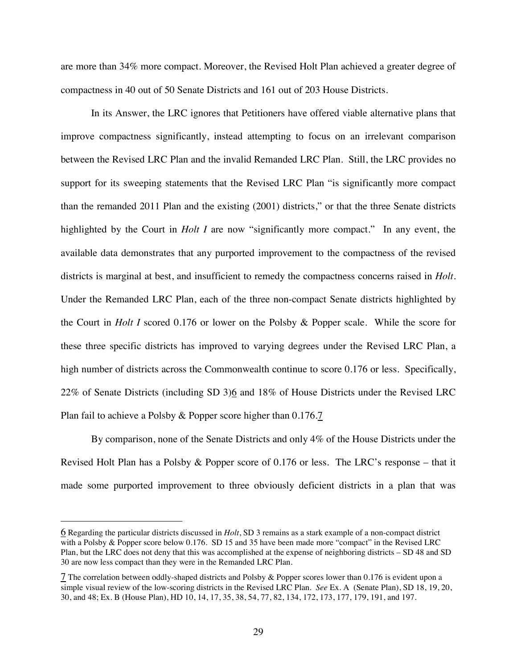are more than 34% more compact. Moreover, the Revised Holt Plan achieved a greater degree of compactness in 40 out of 50 Senate Districts and 161 out of 203 House Districts.

In its Answer, the LRC ignores that Petitioners have offered viable alternative plans that improve compactness significantly, instead attempting to focus on an irrelevant comparison between the Revised LRC Plan and the invalid Remanded LRC Plan. Still, the LRC provides no support for its sweeping statements that the Revised LRC Plan "is significantly more compact than the remanded 2011 Plan and the existing (2001) districts," or that the three Senate districts highlighted by the Court in *Holt I* are now "significantly more compact." In any event, the available data demonstrates that any purported improvement to the compactness of the revised districts is marginal at best, and insufficient to remedy the compactness concerns raised in *Holt*. Under the Remanded LRC Plan, each of the three non-compact Senate districts highlighted by the Court in *Holt I* scored 0.176 or lower on the Polsby & Popper scale. While the score for these three specific districts has improved to varying degrees under the Revised LRC Plan, a high number of districts across the Commonwealth continue to score 0.176 or less. Specifically, [22% of Senate Districts \(including SD 3\)6 and 18% of House Districts under the Revised LRC](#page-33-0) Plan fail to achieve a Polsby & Popper score higher than 0.176.[7](#page-33-1)

By comparison, none of the Senate Districts and only 4% of the House Districts under the Revised Holt Plan has a Polsby & Popper score of 0.176 or less. The LRC's response – that it made some purported improvement to three obviously deficient districts in a plan that was

<span id="page-33-0"></span><sup>6</sup> Regarding the particular districts discussed in *Holt*, SD 3 remains as a stark example of a non-compact district with a Polsby & Popper score below 0.176. SD 15 and 35 have been made more "compact" in the Revised LRC Plan, but the LRC does not deny that this was accomplished at the expense of neighboring districts – SD 48 and SD 30 are now less compact than they were in the Remanded LRC Plan.

<span id="page-33-1"></span><sup>7</sup> The correlation between oddly-shaped districts and Polsby & Popper scores lower than 0.176 is evident upon a simple visual review of the low-scoring districts in the Revised LRC Plan. *See* Ex. A (Senate Plan), SD 18, 19, 20, 30, and 48; Ex. B (House Plan), HD 10, 14, 17, 35, 38, 54, 77, 82, 134, 172, 173, 177, 179, 191, and 197.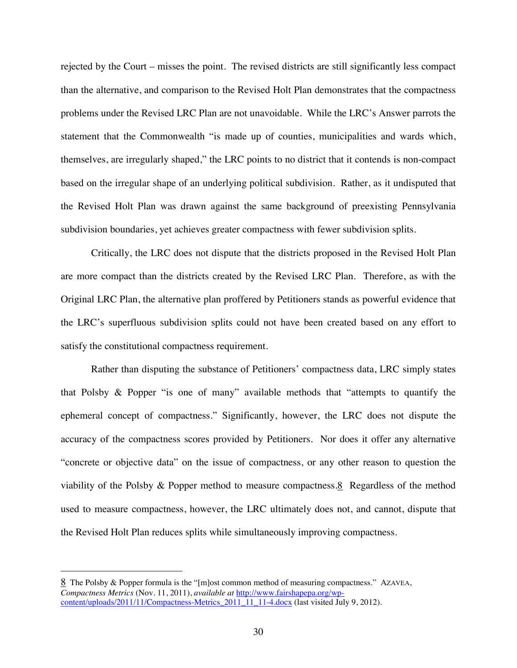rejected by the Court – misses the point. The revised districts are still significantly less compact than the alternative, and comparison to the Revised Holt Plan demonstrates that the compactness problems under the Revised LRC Plan are not unavoidable. While the LRC's Answer parrots the statement that the Commonwealth "is made up of counties, municipalities and wards which, themselves, are irregularly shaped," the LRC points to no district that it contends is non-compact based on the irregular shape of an underlying political subdivision. Rather, as it undisputed that the Revised Holt Plan was drawn against the same background of preexisting Pennsylvania subdivision boundaries, yet achieves greater compactness with fewer subdivision splits.

Critically, the LRC does not dispute that the districts proposed in the Revised Holt Plan are more compact than the districts created by the Revised LRC Plan. Therefore, as with the Original LRC Plan, the alternative plan proffered by Petitioners stands as powerful evidence that the LRC's superfluous subdivision splits could not have been created based on any effort to satisfy the constitutional compactness requirement.

Rather than disputing the substance of Petitioners' compactness data, LRC simply states that Polsby & Popper "is one of many" available methods that "attempts to quantify the ephemeral concept of compactness." Significantly, however, the LRC does not dispute the accuracy of the compactness scores provided by Petitioners. Nor does it offer any alternative "concrete or objective data" on the issue of compactness, or any other reason to question the [viability of the Polsby & Popper method to measure compactness.8 Regardless of the method](#page-34-0) used to measure compactness, however, the LRC ultimately does not, and cannot, dispute that the Revised Holt Plan reduces splits while simultaneously improving compactness.

<span id="page-34-0"></span><sup>8</sup> The Polsby & Popper formula is the "[m]ost common method of measuring compactness." AZAVEA, *Compactness Metrics* (Nov. 11, 2011), *available at* http://www.fairshapepa.org/wpcontent/uploads/2011/11/Compactness-Metrics\_2011\_11\_11-4.docx (last visited July 9, 2012).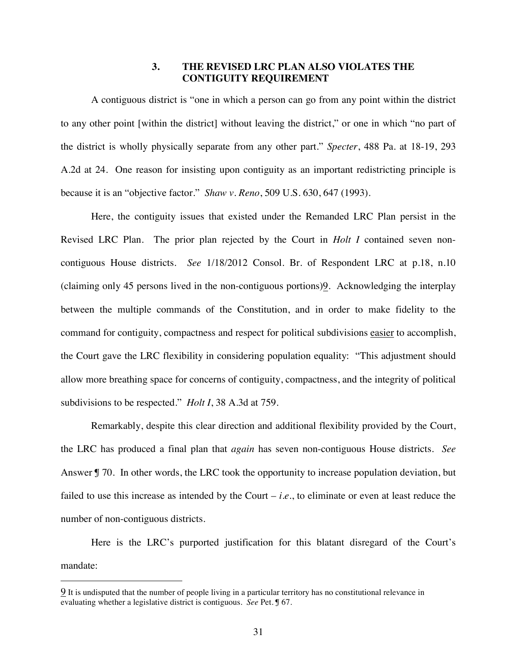### **3. THE REVISED LRC PLAN ALSO VIOLATES THE CONTIGUITY REQUIREMENT**

A contiguous district is "one in which a person can go from any point within the district to any other point [within the district] without leaving the district," or one in which "no part of the district is wholly physically separate from any other part." *Specter*, 488 Pa. at 18-19, 293 A.2d at 24. One reason for insisting upon contiguity as an important redistricting principle is because it is an "objective factor." *Shaw v. Reno*, 509 U.S. 630, 647 (1993).

Here, the contiguity issues that existed under the Remanded LRC Plan persist in the Revised LRC Plan. The prior plan rejected by the Court in *Holt I* contained seven noncontiguous House districts. *See* 1/18/2012 Consol. Br. of Respondent LRC at p.18, n.10 [\(claiming only 45 persons lived in the non-contiguous portions\)9.](#page-35-0) Acknowledging the interplay between the multiple commands of the Constitution, and in order to make fidelity to the command for contiguity, compactness and respect for political subdivisions easier to accomplish, the Court gave the LRC flexibility in considering population equality: "This adjustment should allow more breathing space for concerns of contiguity, compactness, and the integrity of political subdivisions to be respected." *Holt I*, 38 A.3d at 759.

Remarkably, despite this clear direction and additional flexibility provided by the Court, the LRC has produced a final plan that *again* has seven non-contiguous House districts. *See* Answer  $\int$  70. In other words, the LRC took the opportunity to increase population deviation, but failed to use this increase as intended by the Court  $-i.e.,$  to eliminate or even at least reduce the number of non-contiguous districts.

Here is the LRC's purported justification for this blatant disregard of the Court's mandate:

<span id="page-35-0"></span><sup>9</sup> It is undisputed that the number of people living in a particular territory has no constitutional relevance in evaluating whether a legislative district is contiguous. *See* Pet. ¶ 67.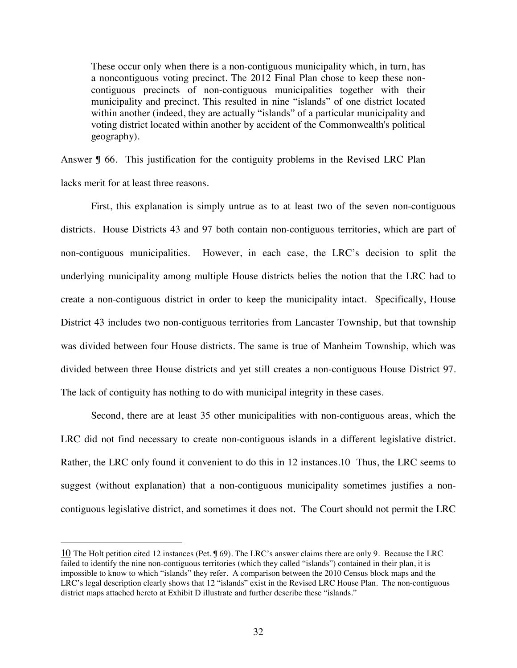These occur only when there is a non-contiguous municipality which, in turn, has a noncontiguous voting precinct. The 2012 Final Plan chose to keep these noncontiguous precincts of non-contiguous municipalities together with their municipality and precinct. This resulted in nine "islands" of one district located within another (indeed, they are actually "islands" of a particular municipality and voting district located within another by accident of the Commonwealth's political geography).

Answer  $\sqrt{9}$  66. This justification for the contiguity problems in the Revised LRC Plan lacks merit for at least three reasons.

First, this explanation is simply untrue as to at least two of the seven non-contiguous districts. House Districts 43 and 97 both contain non-contiguous territories, which are part of non-contiguous municipalities. However, in each case, the LRC's decision to split the underlying municipality among multiple House districts belies the notion that the LRC had to create a non-contiguous district in order to keep the municipality intact. Specifically, House District 43 includes two non-contiguous territories from Lancaster Township, but that township was divided between four House districts. The same is true of Manheim Township, which was divided between three House districts and yet still creates a non-contiguous House District 97. The lack of contiguity has nothing to do with municipal integrity in these cases.

Second, there are at least 35 other municipalities with non-contiguous areas, which the LRC did not find necessary to create non-contiguous islands in a different legislative district. Rather, the LRC only found it convenient to do this in 12 instances. 10 Thus, the LRC seems to suggest (without explanation) that a non-contiguous municipality sometimes justifies a noncontiguous legislative district, and sometimes it does not. The Court should not permit the LRC

<span id="page-36-0"></span><sup>10</sup> The Holt petition cited 12 instances (Pet. ¶ 69). The LRC's answer claims there are only 9. Because the LRC failed to identify the nine non-contiguous territories (which they called "islands") contained in their plan, it is impossible to know to which "islands" they refer. A comparison between the 2010 Census block maps and the LRC's legal description clearly shows that 12 "islands" exist in the Revised LRC House Plan. The non-contiguous district maps attached hereto at Exhibit D illustrate and further describe these "islands."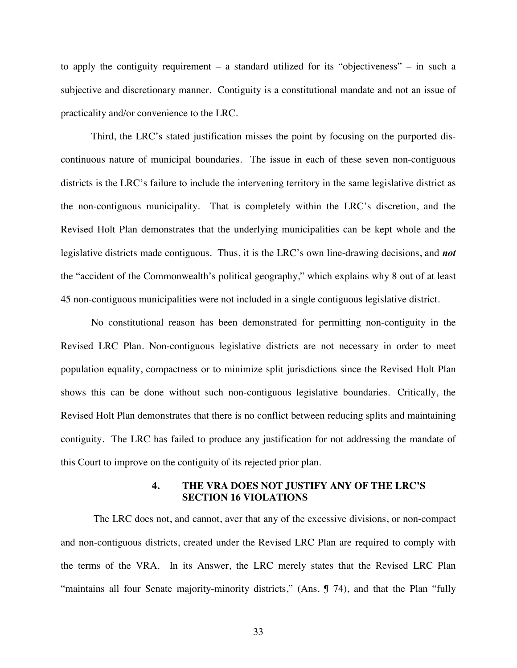to apply the contiguity requirement – a standard utilized for its "objectiveness" – in such a subjective and discretionary manner. Contiguity is a constitutional mandate and not an issue of practicality and/or convenience to the LRC.

Third, the LRC's stated justification misses the point by focusing on the purported discontinuous nature of municipal boundaries. The issue in each of these seven non-contiguous districts is the LRC's failure to include the intervening territory in the same legislative district as the non-contiguous municipality. That is completely within the LRC's discretion, and the Revised Holt Plan demonstrates that the underlying municipalities can be kept whole and the legislative districts made contiguous. Thus, it is the LRC's own line-drawing decisions, and *not* the "accident of the Commonwealth's political geography," which explains why 8 out of at least 45 non-contiguous municipalities were not included in a single contiguous legislative district.

No constitutional reason has been demonstrated for permitting non-contiguity in the Revised LRC Plan. Non-contiguous legislative districts are not necessary in order to meet population equality, compactness or to minimize split jurisdictions since the Revised Holt Plan shows this can be done without such non-contiguous legislative boundaries. Critically, the Revised Holt Plan demonstrates that there is no conflict between reducing splits and maintaining contiguity. The LRC has failed to produce any justification for not addressing the mandate of this Court to improve on the contiguity of its rejected prior plan.

## **4. THE VRA DOES NOT JUSTIFY ANY OF THE LRC'S SECTION 16 VIOLATIONS**

The LRC does not, and cannot, aver that any of the excessive divisions, or non-compact and non-contiguous districts, created under the Revised LRC Plan are required to comply with the terms of the VRA. In its Answer, the LRC merely states that the Revised LRC Plan "maintains all four Senate majority-minority districts," (Ans. ¶ 74), and that the Plan "fully

33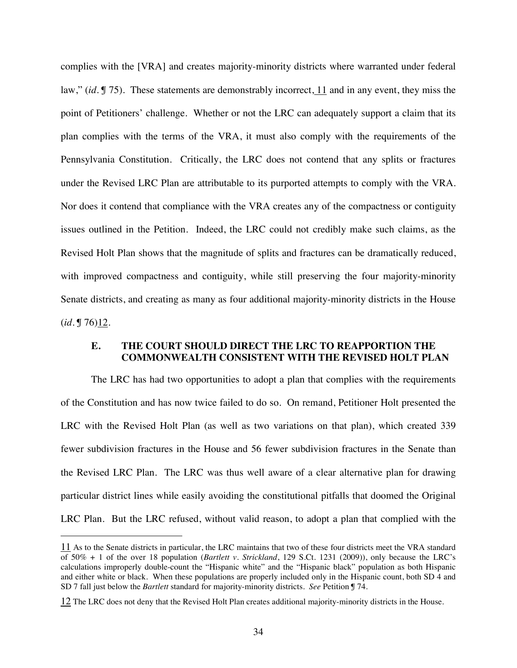complies with the [VRA] and creates majority-minority districts where warranted under federal law," (*id.* [¶ 75\). These statements are demonstrably incorrect, 11 and in any event, they miss the](#page-38-1) point of Petitioners' challenge. Whether or not the LRC can adequately support a claim that its plan complies with the terms of the VRA, it must also comply with the requirements of the Pennsylvania Constitution. Critically, the LRC does not contend that any splits or fractures under the Revised LRC Plan are attributable to its purported attempts to comply with the VRA. Nor does it contend that compliance with the VRA creates any of the compactness or contiguity issues outlined in the Petition. Indeed, the LRC could not credibly make such claims, as the Revised Holt Plan shows that the magnitude of splits and fractures can be dramatically reduced, with improved compactness and contiguity, while still preserving the four majority-minority Senate districts, and creating as many as four additional majority-minority districts in the House  $(id. \mathbb{J} 76)12$ .

## <span id="page-38-0"></span>**E. THE COURT SHOULD DIRECT THE LRC TO REAPPORTION THE COMMONWEALTH CONSISTENT WITH THE REVISED HOLT PLAN**

The LRC has had two opportunities to adopt a plan that complies with the requirements of the Constitution and has now twice failed to do so. On remand, Petitioner Holt presented the LRC with the Revised Holt Plan (as well as two variations on that plan), which created 339 fewer subdivision fractures in the House and 56 fewer subdivision fractures in the Senate than the Revised LRC Plan. The LRC was thus well aware of a clear alternative plan for drawing particular district lines while easily avoiding the constitutional pitfalls that doomed the Original LRC Plan. But the LRC refused, without valid reason, to adopt a plan that complied with the

<span id="page-38-1"></span><sup>11</sup> As to the Senate districts in particular, the LRC maintains that two of these four districts meet the VRA standard of 50% + 1 of the over 18 population (*Bartlett v. Strickland*, 129 S.Ct. 1231 (2009)), only because the LRC's calculations improperly double-count the "Hispanic white" and the "Hispanic black" population as both Hispanic and either white or black. When these populations are properly included only in the Hispanic count, both SD 4 and SD 7 fall just below the *Bartlett* standard for majority-minority districts. *See* Petition ¶ 74.

<span id="page-38-2"></span><sup>12</sup> The LRC does not deny that the Revised Holt Plan creates additional majority-minority districts in the House.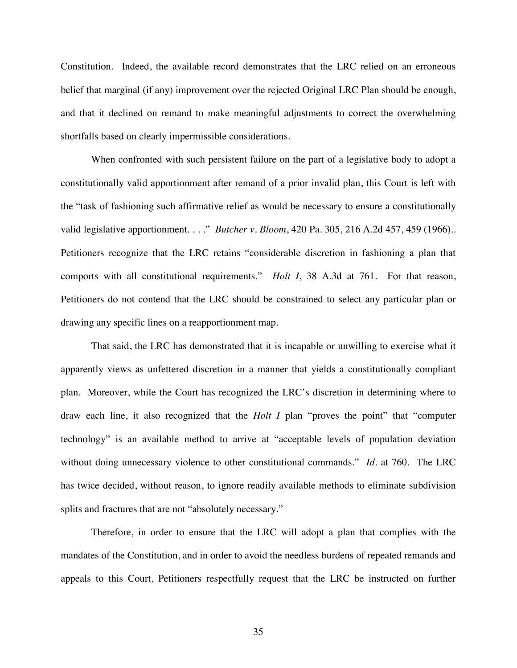Constitution. Indeed, the available record demonstrates that the LRC relied on an erroneous belief that marginal (if any) improvement over the rejected Original LRC Plan should be enough, and that it declined on remand to make meaningful adjustments to correct the overwhelming shortfalls based on clearly impermissible considerations.

When confronted with such persistent failure on the part of a legislative body to adopt a constitutionally valid apportionment after remand of a prior invalid plan, this Court is left with the "task of fashioning such affirmative relief as would be necessary to ensure a constitutionally valid legislative apportionment. . . ." *Butcher v. Bloom*, 420 Pa. 305, 216 A.2d 457, 459 (1966).. Petitioners recognize that the LRC retains "considerable discretion in fashioning a plan that comports with all constitutional requirements." *Holt I*, 38 A.3d at 761. For that reason, Petitioners do not contend that the LRC should be constrained to select any particular plan or drawing any specific lines on a reapportionment map.

That said, the LRC has demonstrated that it is incapable or unwilling to exercise what it apparently views as unfettered discretion in a manner that yields a constitutionally compliant plan. Moreover, while the Court has recognized the LRC's discretion in determining where to draw each line, it also recognized that the *Holt I* plan "proves the point" that "computer technology" is an available method to arrive at "acceptable levels of population deviation without doing unnecessary violence to other constitutional commands." *Id.* at 760. The LRC has twice decided, without reason, to ignore readily available methods to eliminate subdivision splits and fractures that are not "absolutely necessary."

Therefore, in order to ensure that the LRC will adopt a plan that complies with the mandates of the Constitution, and in order to avoid the needless burdens of repeated remands and appeals to this Court, Petitioners respectfully request that the LRC be instructed on further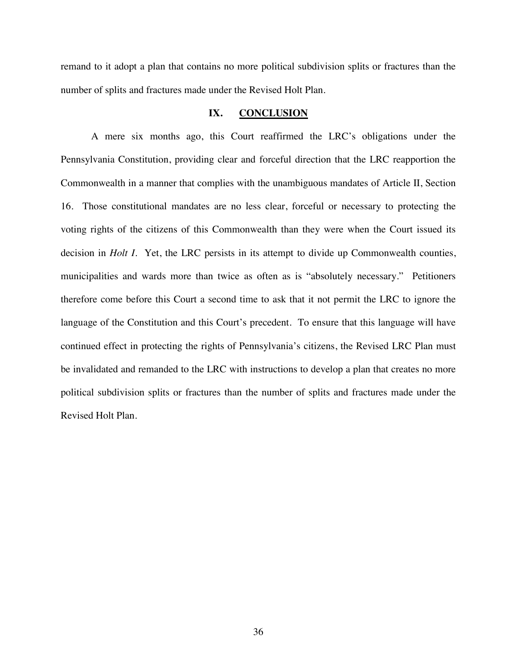remand to it adopt a plan that contains no more political subdivision splits or fractures than the number of splits and fractures made under the Revised Holt Plan.

## <span id="page-40-0"></span>**IX. CONCLUSION**

A mere six months ago, this Court reaffirmed the LRC's obligations under the Pennsylvania Constitution, providing clear and forceful direction that the LRC reapportion the Commonwealth in a manner that complies with the unambiguous mandates of Article II, Section 16. Those constitutional mandates are no less clear, forceful or necessary to protecting the voting rights of the citizens of this Commonwealth than they were when the Court issued its decision in *Holt I.* Yet, the LRC persists in its attempt to divide up Commonwealth counties, municipalities and wards more than twice as often as is "absolutely necessary." Petitioners therefore come before this Court a second time to ask that it not permit the LRC to ignore the language of the Constitution and this Court's precedent. To ensure that this language will have continued effect in protecting the rights of Pennsylvania's citizens, the Revised LRC Plan must be invalidated and remanded to the LRC with instructions to develop a plan that creates no more political subdivision splits or fractures than the number of splits and fractures made under the Revised Holt Plan.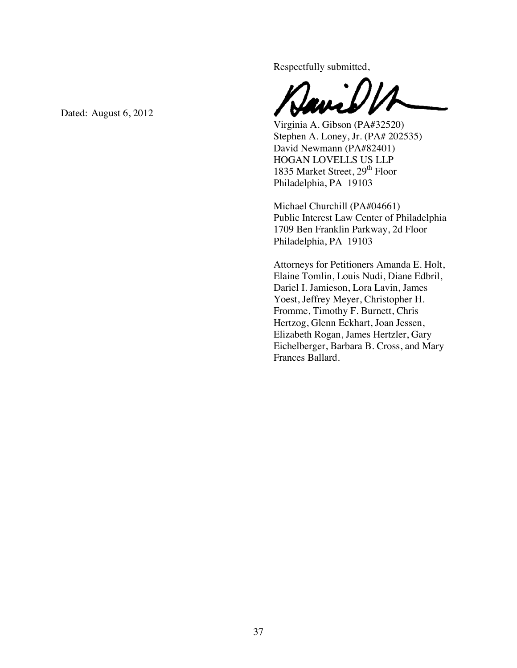Respectfully submitted,

Virginia A. Gibson (PA#32520) Stephen A. Loney, Jr. (PA# 202535) David Newmann (PA#82401) HOGAN LOVELLS US LLP 1835 Market Street, 29<sup>th</sup> Floor Philadelphia, PA 19103

Michael Churchill (PA#04661) Public Interest Law Center of Philadelphia 1709 Ben Franklin Parkway, 2d Floor Philadelphia, PA 19103

Attorneys for Petitioners Amanda E. Holt, Elaine Tomlin, Louis Nudi, Diane Edbril, Dariel I. Jamieson, Lora Lavin, James Yoest, Jeffrey Meyer, Christopher H. Fromme, Timothy F. Burnett, Chris Hertzog, Glenn Eckhart, Joan Jessen, Elizabeth Rogan, James Hertzler, Gary Eichelberger, Barbara B. Cross, and Mary Frances Ballard.

Dated: August  $6, 2012$